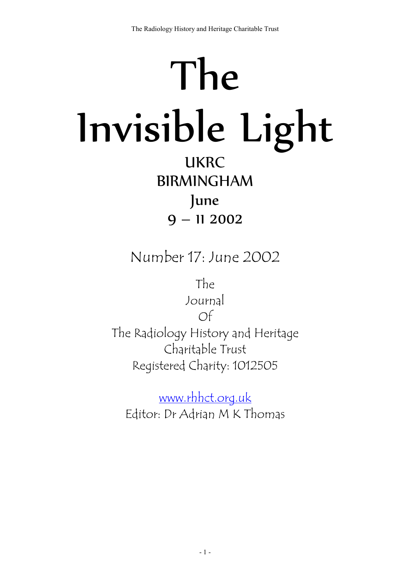# The Invisible Light **UKRC** BIRMINGHAM June 9 – 11 2002

Number 17: June 2002

The Journal Of

The Radiology History and Heritage Charitable Trust Registered Charity: 1012505

www.rhhct.org.uk Editor: Dr Adrian M K Thomas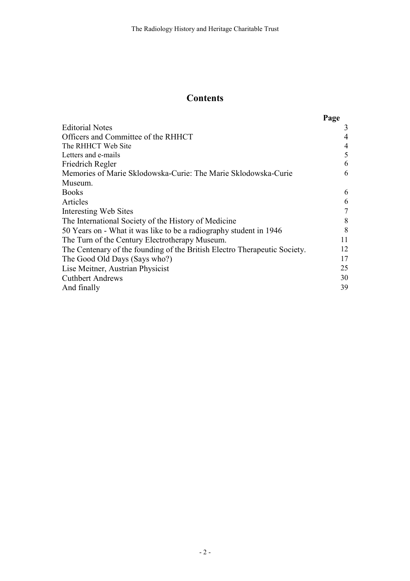# **Contents**

|                                                                           | Page           |
|---------------------------------------------------------------------------|----------------|
| <b>Editorial Notes</b>                                                    | 3              |
| Officers and Committee of the RHHCT                                       | 4              |
| The RHHCT Web Site                                                        | $\overline{4}$ |
| Letters and e-mails                                                       | 5              |
| Friedrich Regler                                                          | 6              |
| Memories of Marie Sklodowska-Curie: The Marie Sklodowska-Curie            | 6              |
| Museum.                                                                   |                |
| <b>Books</b>                                                              | 6              |
| Articles                                                                  | 6              |
| Interesting Web Sites                                                     | 7              |
| The International Society of the History of Medicine                      | 8              |
| 50 Years on - What it was like to be a radiography student in 1946        | 8              |
| The Turn of the Century Electrotherapy Museum.                            | 11             |
| The Centenary of the founding of the British Electro Therapeutic Society. | 12             |
| The Good Old Days (Says who?)                                             | 17             |
| Lise Meitner, Austrian Physicist                                          | 25             |
| <b>Cuthbert Andrews</b>                                                   | 30             |
| And finally                                                               | 39             |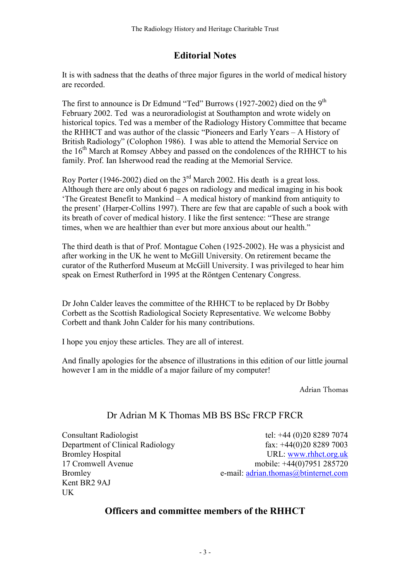# **Editorial Notes**

It is with sadness that the deaths of three major figures in the world of medical history are recorded.

The first to announce is Dr Edmund "Ted" Burrows (1927-2002) died on the  $9<sup>th</sup>$ February 2002. Ted was a neuroradiologist at Southampton and wrote widely on historical topics. Ted was a member of the Radiology History Committee that became the RHHCT and was author of the classic "Pioneers and Early Years – A History of British Radiology" (Colophon 1986). I was able to attend the Memorial Service on the  $16<sup>th</sup>$  March at Romsey Abbey and passed on the condolences of the RHHCT to his family. Prof. Ian Isherwood read the reading at the Memorial Service.

Roy Porter (1946-2002) died on the 3rd March 2002. His death is a great loss. Although there are only about 6 pages on radiology and medical imaging in his book 'The Greatest Benefit to Mankind – A medical history of mankind from antiquity to the present' (Harper-Collins 1997). There are few that are capable of such a book with its breath of cover of medical history. I like the first sentence: "These are strange times, when we are healthier than ever but more anxious about our health."

The third death is that of Prof. Montague Cohen (1925-2002). He was a physicist and after working in the UK he went to McGill University. On retirement became the curator of the Rutherford Museum at McGill University. I was privileged to hear him speak on Ernest Rutherford in 1995 at the Röntgen Centenary Congress.

Dr John Calder leaves the committee of the RHHCT to be replaced by Dr Bobby Corbett as the Scottish Radiological Society Representative. We welcome Bobby Corbett and thank John Calder for his many contributions.

I hope you enjoy these articles. They are all of interest.

And finally apologies for the absence of illustrations in this edition of our little journal however I am in the middle of a major failure of my computer!

Adrian Thomas

# Dr Adrian M K Thomas MB BS BSc FRCP FRCR

Consultant Radiologist Department of Clinical Radiology Bromley Hospital 17 Cromwell Avenue Bromley Kent BR2 9AJ UK

tel: +44 (0)20 8289 7074 fax: +44(0)20 8289 7003 URL: www.rhhct.org.uk mobile: +44(0)7951 285720 e-mail: adrian.thomas@btinternet.com

# Officers and committee members of the RHHCT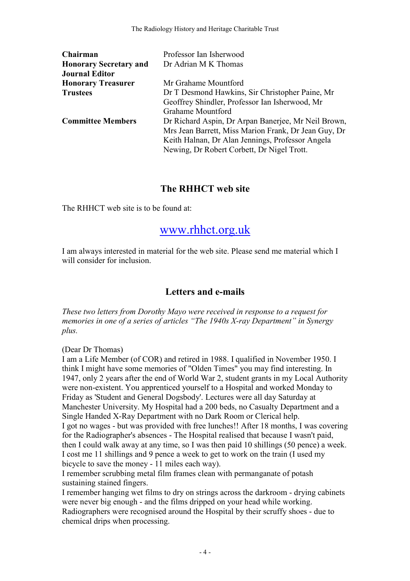| Chairman                      | Professor Ian Isherwood                              |
|-------------------------------|------------------------------------------------------|
| <b>Honorary Secretary and</b> | Dr Adrian M K Thomas                                 |
| <b>Journal Editor</b>         |                                                      |
| <b>Honorary Treasurer</b>     | Mr Grahame Mountford                                 |
| <b>Trustees</b>               | Dr T Desmond Hawkins, Sir Christopher Paine, Mr      |
|                               | Geoffrey Shindler, Professor Ian Isherwood, Mr       |
|                               | Grahame Mountford                                    |
| <b>Committee Members</b>      | Dr Richard Aspin, Dr Arpan Banerjee, Mr Neil Brown,  |
|                               | Mrs Jean Barrett, Miss Marion Frank, Dr Jean Guy, Dr |
|                               | Keith Halnan, Dr Alan Jennings, Professor Angela     |
|                               | Newing, Dr Robert Corbett, Dr Nigel Trott.           |

### The RHHCT web site

The RHHCT web site is to be found at:

# www.rhhct.org.uk

I am always interested in material for the web site. Please send me material which I will consider for inclusion.

## Letters and e-mails

These two letters from Dorothy Mayo were received in response to a request for memories in one of a series of articles "The 1940s X-ray Department" in Synergy plus.

(Dear Dr Thomas)

I am a Life Member (of COR) and retired in 1988. I qualified in November 1950. I think I might have some memories of "Olden Times" you may find interesting. In 1947, only 2 years after the end of World War 2, student grants in my Local Authority were non-existent. You apprenticed yourself to a Hospital and worked Monday to Friday as 'Student and General Dogsbody'. Lectures were all day Saturday at Manchester University. My Hospital had a 200 beds, no Casualty Department and a Single Handed X-Ray Department with no Dark Room or Clerical help. I got no wages - but was provided with free lunches!! After 18 months, I was covering for the Radiographer's absences - The Hospital realised that because I wasn't paid, then I could walk away at any time, so I was then paid 10 shillings (50 pence) a week. I cost me 11 shillings and 9 pence a week to get to work on the train (I used my bicycle to save the money - 11 miles each way).

I remember scrubbing metal film frames clean with permanganate of potash sustaining stained fingers.

I remember hanging wet films to dry on strings across the darkroom - drying cabinets were never big enough - and the films dripped on your head while working. Radiographers were recognised around the Hospital by their scruffy shoes - due to chemical drips when processing.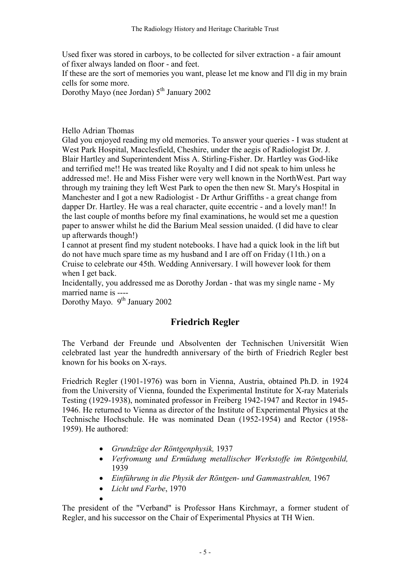Used fixer was stored in carboys, to be collected for silver extraction - a fair amount of fixer always landed on floor - and feet.

If these are the sort of memories you want, please let me know and I'll dig in my brain cells for some more.

Dorothy Mayo (nee Jordan)  $5<sup>th</sup>$  January 2002

Hello Adrian Thomas

Glad you enjoyed reading my old memories. To answer your queries - I was student at West Park Hospital, Macclesfield, Cheshire, under the aegis of Radiologist Dr. J. Blair Hartley and Superintendent Miss A. Stirling-Fisher. Dr. Hartley was God-like and terrified me!! He was treated like Royalty and I did not speak to him unless he addressed me!. He and Miss Fisher were very well known in the NorthWest. Part way through my training they left West Park to open the then new St. Mary's Hospital in Manchester and I got a new Radiologist - Dr Arthur Griffiths - a great change from dapper Dr. Hartley. He was a real character, quite eccentric - and a lovely man!! In the last couple of months before my final examinations, he would set me a question paper to answer whilst he did the Barium Meal session unaided. (I did have to clear up afterwards though!)

I cannot at present find my student notebooks. I have had a quick look in the lift but do not have much spare time as my husband and I are off on Friday (11th.) on a Cruise to celebrate our 45th. Wedding Anniversary. I will however look for them when I get back.

Incidentally, you addressed me as Dorothy Jordan - that was my single name - My married name is ----

Dorothy Mayo. 9<sup>th</sup> January 2002

# Friedrich Regler

The Verband der Freunde und Absolventen der Technischen Universität Wien celebrated last year the hundredth anniversary of the birth of Friedrich Regler best known for his books on X-rays.

Friedrich Regler (1901-1976) was born in Vienna, Austria, obtained Ph.D. in 1924 from the University of Vienna, founded the Experimental Institute for X-ray Materials Testing (1929-1938), nominated professor in Freiberg 1942-1947 and Rector in 1945- 1946. He returned to Vienna as director of the Institute of Experimental Physics at the Technische Hochschule. He was nominated Dean (1952-1954) and Rector (1958- 1959). He authored:

- Grundzüge der Röntgenphysik, 1937
- Verfromung und Ermüdung metallischer Werkstoffe im Röntgenbild, 1939
- Einführung in die Physik der Röntgen- und Gammastrahlen, 1967
- Licht und Farbe, 1970 •

The president of the "Verband" is Professor Hans Kirchmayr, a former student of Regler, and his successor on the Chair of Experimental Physics at TH Wien.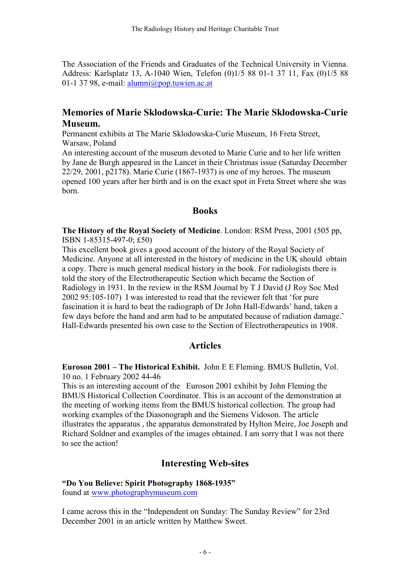The Association of the Friends and Graduates of the Technical University in Vienna. Address: Karlsplatz 13, A-1040 Wien, Telefon (0)1/5 88 01-1 37 11, Fax (0)1/5 88 01-1 37 98, e-mail:  $\frac{\text{alumn}(a)$ pop.tuwien.ac.at

## Memories of Marie Sklodowska-Curie: The Marie Sklodowska-Curie Museum.

Permanent exhibits at The Marie Sklodowska-Curie Museum, 16 Freta Street, Warsaw, Poland

An interesting account of the museum devoted to Marie Curie and to her life written by Jane de Burgh appeared in the Lancet in their Christmas issue (Saturday December 22/29, 2001, p2178). Marie Curie (1867-1937) is one of my heroes. The museum opened 100 years after her birth and is on the exact spot in Freta Street where she was born.

#### **Books**

The History of the Royal Society of Medicine. London: RSM Press, 2001 (505 pp, ISBN 1-85315-497-0; £50)

This excellent book gives a good account of the history of the Royal Society of Medicine. Anyone at all interested in the history of medicine in the UK should obtain a copy. There is much general medical history in the book. For radiologists there is told the story of the Electrotherapeutic Section which became the Section of Radiology in 1931. In the review in the RSM Journal by T J David (J Roy Soc Med 2002 95:105-107) I was interested to read that the reviewer felt that 'for pure fascination it is hard to beat the radiograph of Dr John Hall-Edwards' hand, taken a few days before the hand and arm had to be amputated because of radiation damage.' Hall-Edwards presented his own case to the Section of Electrotherapeutics in 1908.

## Articles

Euroson 2001 – The Historical Exhibit. John E E Fleming. BMUS Bulletin, Vol. 10 no. 1 February 2002 44-46

This is an interesting account of the Euroson 2001 exhibit by John Fleming the BMUS Historical Collection Coordinator. This is an account of the demonstration at the meeting of working items from the BMUS historical collection. The group had working examples of the Diasonograph and the Siemens Vidoson. The article illustrates the apparatus , the apparatus demonstrated by Hylton Meire, Joe Joseph and Richard Soldner and examples of the images obtained. I am sorry that I was not there to see the action!

## Interesting Web-sites

#### "Do You Believe: Spirit Photography 1868-1935"

found at www.photographymuseum.com

I came across this in the "Independent on Sunday: The Sunday Review" for 23rd December 2001 in an article written by Matthew Sweet.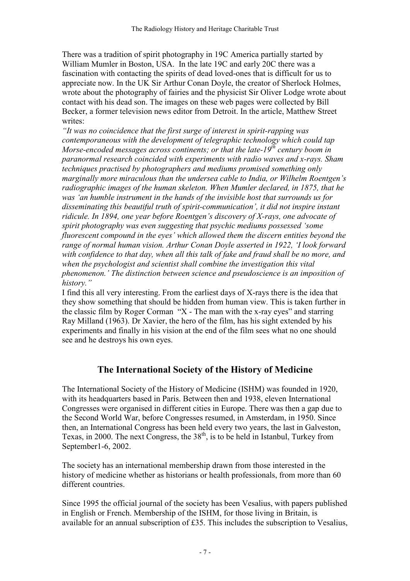There was a tradition of spirit photography in 19C America partially started by William Mumler in Boston, USA. In the late 19C and early 20C there was a fascination with contacting the spirits of dead loved-ones that is difficult for us to appreciate now. In the UK Sir Arthur Conan Doyle, the creator of Sherlock Holmes, wrote about the photography of fairies and the physicist Sir Oliver Lodge wrote about contact with his dead son. The images on these web pages were collected by Bill Becker, a former television news editor from Detroit. In the article, Matthew Street writes<sup>.</sup>

"It was no coincidence that the first surge of interest in spirit-rapping was contemporaneous with the development of telegraphic technology which could tap Morse-encoded messages across continents; or that the late- $19^{th}$  century boom in paranormal research coincided with experiments with radio waves and x-rays. Sham techniques practised by photographers and mediums promised something only marginally more miraculous than the undersea cable to India, or Wilhelm Roentgen's radiographic images of the human skeleton. When Mumler declared, in 1875, that he was 'an humble instrument in the hands of the invisible host that surrounds us for disseminating this beautiful truth of spirit-communication', it did not inspire instant ridicule. In 1894, one year before Roentgen's discovery of X-rays, one advocate of spirit photography was even suggesting that psychic mediums possessed 'some fluorescent compound in the eyes' which allowed them the discern entities beyond the range of normal human vision. Arthur Conan Doyle asserted in 1922, 'I look forward with confidence to that day, when all this talk of fake and fraud shall be no more, and when the psychologist and scientist shall combine the investigation this vital phenomenon.' The distinction between science and pseudoscience is an imposition of history."

I find this all very interesting. From the earliest days of X-rays there is the idea that they show something that should be hidden from human view. This is taken further in the classic film by Roger Corman "X - The man with the x-ray eyes" and starring Ray Milland (1963). Dr Xavier, the hero of the film, has his sight extended by his experiments and finally in his vision at the end of the film sees what no one should see and he destroys his own eyes.

# The International Society of the History of Medicine

The International Society of the History of Medicine (ISHM) was founded in 1920, with its headquarters based in Paris. Between then and 1938, eleven International Congresses were organised in different cities in Europe. There was then a gap due to the Second World War, before Congresses resumed, in Amsterdam, in 1950. Since then, an International Congress has been held every two years, the last in Galveston, Texas, in 2000. The next Congress, the  $38<sup>th</sup>$ , is to be held in Istanbul, Turkey from September1-6, 2002.

The society has an international membership drawn from those interested in the history of medicine whether as historians or health professionals, from more than 60 different countries.

Since 1995 the official journal of the society has been Vesalius, with papers published in English or French. Membership of the ISHM, for those living in Britain, is available for an annual subscription of £35. This includes the subscription to Vesalius,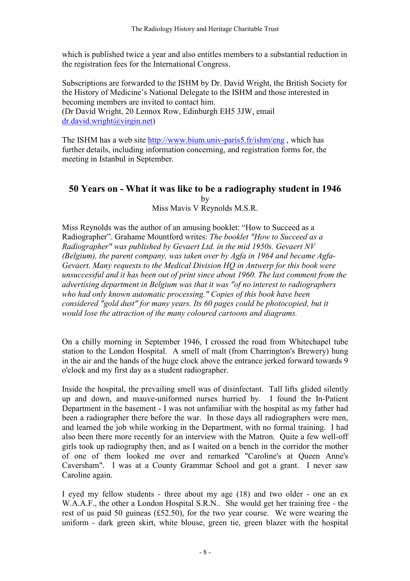which is published twice a year and also entitles members to a substantial reduction in the registration fees for the International Congress.

Subscriptions are forwarded to the ISHM by Dr. David Wright, the British Society for the History of Medicine's National Delegate to the ISHM and those interested in becoming members are invited to contact him. (Dr David Wright, 20 Lennox Row, Edinburgh EH5 3JW, email dr.david.wright@virgin.net)

The ISHM has a web site http://www.bium.univ-paris5.fr/ishm/eng , which has further details, including information concerning, and registration forms for, the meeting in Istanbul in September.

# 50 Years on - What it was like to be a radiography student in 1946 by

Miss Mavis V Reynolds M.S.R.

Miss Reynolds was the author of an amusing booklet: "How to Succeed as a Radiographer". Grahame Mountford writes: The booklet "How to Succeed as a Radiographer" was published by Gevaert Ltd. in the mid  $1950s$ . Gevaert NV (Belgium), the parent company, was taken over by Agfa in 1964 and became Agfa-Gevaert. Many requests to the Medical Division HQ in Antwerp for this book were unsuccessful and it has been out of print since about 1960. The last comment from the advertising department in Belgium was that it was "of no interest to radiographers who had only known automatic processing." Copies of this book have been considered "gold dust" for many years. Its 60 pages could be photocopied, but it would lose the attraction of the many coloured cartoons and diagrams.

On a chilly morning in September 1946, I crossed the road from Whitechapel tube station to the London Hospital. A smell of malt (from Charrington's Brewery) hung in the air and the hands of the huge clock above the entrance jerked forward towards 9 o'clock and my first day as a student radiographer.

Inside the hospital, the prevailing smell was of disinfectant. Tall lifts glided silently up and down, and mauve-uniformed nurses hurried by. I found the In-Patient Department in the basement - I was not unfamiliar with the hospital as my father had been a radiographer there before the war. In those days all radiographers were men, and learned the job while working in the Department, with no formal training. I had also been there more recently for an interview with the Matron. Quite a few well-off girls took up radiography then, and as I waited on a bench in the corridor the mother of one of them looked me over and remarked "Caroline's at Queen Anne's Caversham". I was at a County Grammar School and got a grant. I never saw Caroline again.

I eyed my fellow students - three about my age (18) and two older - one an ex W.A.A.F., the other a London Hospital S.R.N.. She would get her training free - the rest of us paid 50 guineas (£52.50), for the two year course. We were wearing the uniform - dark green skirt, white blouse, green tie, green blazer with the hospital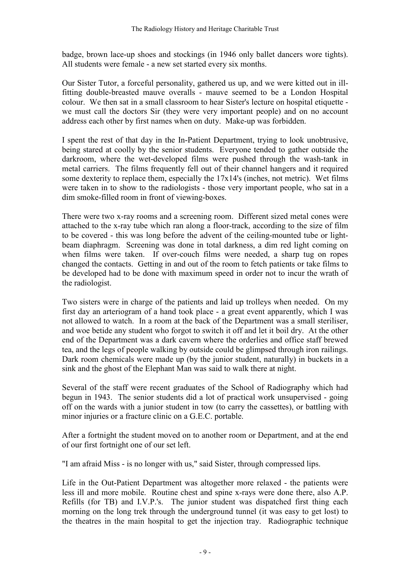badge, brown lace-up shoes and stockings (in 1946 only ballet dancers wore tights). All students were female - a new set started every six months.

Our Sister Tutor, a forceful personality, gathered us up, and we were kitted out in illfitting double-breasted mauve overalls - mauve seemed to be a London Hospital colour. We then sat in a small classroom to hear Sister's lecture on hospital etiquette we must call the doctors Sir (they were very important people) and on no account address each other by first names when on duty. Make-up was forbidden.

I spent the rest of that day in the In-Patient Department, trying to look unobtrusive, being stared at coolly by the senior students. Everyone tended to gather outside the darkroom, where the wet-developed films were pushed through the wash-tank in metal carriers. The films frequently fell out of their channel hangers and it required some dexterity to replace them, especially the 17x14's (inches, not metric). Wet films were taken in to show to the radiologists - those very important people, who sat in a dim smoke-filled room in front of viewing-boxes.

There were two x-ray rooms and a screening room. Different sized metal cones were attached to the x-ray tube which ran along a floor-track, according to the size of film to be covered - this was long before the advent of the ceiling-mounted tube or lightbeam diaphragm. Screening was done in total darkness, a dim red light coming on when films were taken. If over-couch films were needed, a sharp tug on ropes changed the contacts. Getting in and out of the room to fetch patients or take films to be developed had to be done with maximum speed in order not to incur the wrath of the radiologist.

Two sisters were in charge of the patients and laid up trolleys when needed. On my first day an arteriogram of a hand took place - a great event apparently, which I was not allowed to watch. In a room at the back of the Department was a small steriliser, and woe betide any student who forgot to switch it off and let it boil dry. At the other end of the Department was a dark cavern where the orderlies and office staff brewed tea, and the legs of people walking by outside could be glimpsed through iron railings. Dark room chemicals were made up (by the junior student, naturally) in buckets in a sink and the ghost of the Elephant Man was said to walk there at night.

Several of the staff were recent graduates of the School of Radiography which had begun in 1943. The senior students did a lot of practical work unsupervised - going off on the wards with a junior student in tow (to carry the cassettes), or battling with minor injuries or a fracture clinic on a G.E.C. portable.

After a fortnight the student moved on to another room or Department, and at the end of our first fortnight one of our set left.

"I am afraid Miss - is no longer with us," said Sister, through compressed lips.

Life in the Out-Patient Department was altogether more relaxed - the patients were less ill and more mobile. Routine chest and spine x-rays were done there, also A.P. Refills (for TB) and I.V.P.'s. The junior student was dispatched first thing each morning on the long trek through the underground tunnel (it was easy to get lost) to the theatres in the main hospital to get the injection tray. Radiographic technique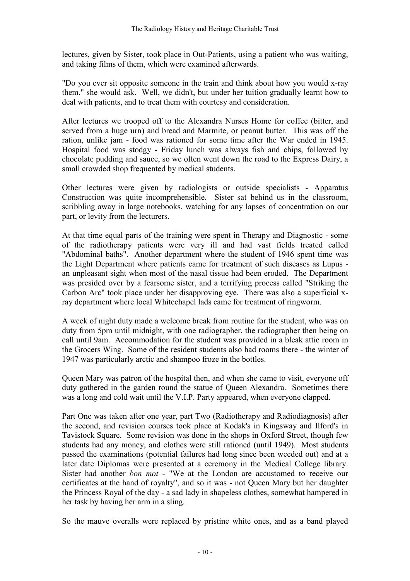lectures, given by Sister, took place in Out-Patients, using a patient who was waiting, and taking films of them, which were examined afterwards.

"Do you ever sit opposite someone in the train and think about how you would x-ray them," she would ask. Well, we didn't, but under her tuition gradually learnt how to deal with patients, and to treat them with courtesy and consideration.

After lectures we trooped off to the Alexandra Nurses Home for coffee (bitter, and served from a huge urn) and bread and Marmite, or peanut butter. This was off the ration, unlike jam - food was rationed for some time after the War ended in 1945. Hospital food was stodgy - Friday lunch was always fish and chips, followed by chocolate pudding and sauce, so we often went down the road to the Express Dairy, a small crowded shop frequented by medical students.

Other lectures were given by radiologists or outside specialists - Apparatus Construction was quite incomprehensible. Sister sat behind us in the classroom, scribbling away in large notebooks, watching for any lapses of concentration on our part, or levity from the lecturers.

At that time equal parts of the training were spent in Therapy and Diagnostic - some of the radiotherapy patients were very ill and had vast fields treated called "Abdominal baths". Another department where the student of 1946 spent time was the Light Department where patients came for treatment of such diseases as Lupus an unpleasant sight when most of the nasal tissue had been eroded. The Department was presided over by a fearsome sister, and a terrifying process called "Striking the Carbon Arc" took place under her disapproving eye. There was also a superficial xray department where local Whitechapel lads came for treatment of ringworm.

A week of night duty made a welcome break from routine for the student, who was on duty from 5pm until midnight, with one radiographer, the radiographer then being on call until 9am. Accommodation for the student was provided in a bleak attic room in the Grocers Wing. Some of the resident students also had rooms there - the winter of 1947 was particularly arctic and shampoo froze in the bottles.

Queen Mary was patron of the hospital then, and when she came to visit, everyone off duty gathered in the garden round the statue of Queen Alexandra. Sometimes there was a long and cold wait until the V.I.P. Party appeared, when everyone clapped.

Part One was taken after one year, part Two (Radiotherapy and Radiodiagnosis) after the second, and revision courses took place at Kodak's in Kingsway and Ilford's in Tavistock Square. Some revision was done in the shops in Oxford Street, though few students had any money, and clothes were still rationed (until 1949). Most students passed the examinations (potential failures had long since been weeded out) and at a later date Diplomas were presented at a ceremony in the Medical College library. Sister had another bon mot - "We at the London are accustomed to receive our certificates at the hand of royalty", and so it was - not Queen Mary but her daughter the Princess Royal of the day - a sad lady in shapeless clothes, somewhat hampered in her task by having her arm in a sling.

So the mauve overalls were replaced by pristine white ones, and as a band played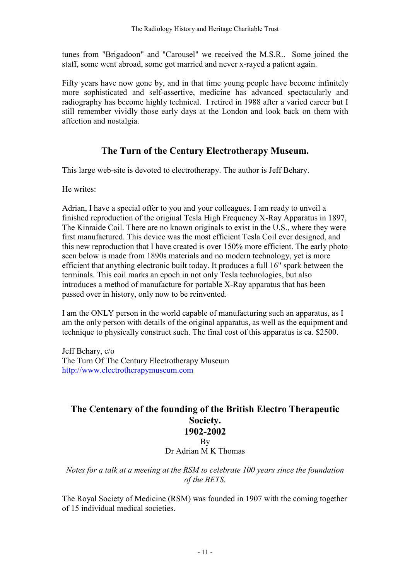tunes from "Brigadoon" and "Carousel" we received the M.S.R.. Some joined the staff, some went abroad, some got married and never x-rayed a patient again.

Fifty years have now gone by, and in that time young people have become infinitely more sophisticated and self-assertive, medicine has advanced spectacularly and radiography has become highly technical. I retired in 1988 after a varied career but I still remember vividly those early days at the London and look back on them with affection and nostalgia.

# The Turn of the Century Electrotherapy Museum.

This large web-site is devoted to electrotherapy. The author is Jeff Behary.

He writes:

Adrian, I have a special offer to you and your colleagues. I am ready to unveil a finished reproduction of the original Tesla High Frequency X-Ray Apparatus in 1897, The Kinraide Coil. There are no known originals to exist in the U.S., where they were first manufactured. This device was the most efficient Tesla Coil ever designed, and this new reproduction that I have created is over 150% more efficient. The early photo seen below is made from 1890s materials and no modern technology, yet is more efficient that anything electronic built today. It produces a full 16" spark between the terminals. This coil marks an epoch in not only Tesla technologies, but also introduces a method of manufacture for portable X-Ray apparatus that has been passed over in history, only now to be reinvented.

I am the ONLY person in the world capable of manufacturing such an apparatus, as I am the only person with details of the original apparatus, as well as the equipment and technique to physically construct such. The final cost of this apparatus is ca. \$2500.

Jeff Behary, c/o The Turn Of The Century Electrotherapy Museum http://www.electrotherapymuseum.com

# The Centenary of the founding of the British Electro Therapeutic Society. 1902-2002

By

Dr Adrian M K Thomas

Notes for a talk at a meeting at the RSM to celebrate 100 years since the foundation of the BETS.

The Royal Society of Medicine (RSM) was founded in 1907 with the coming together of 15 individual medical societies.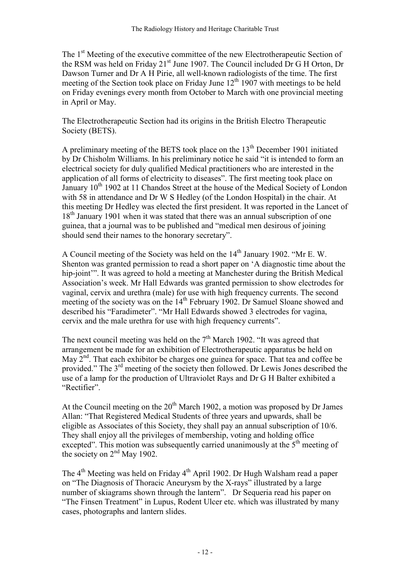The 1<sup>st</sup> Meeting of the executive committee of the new Electrotherapeutic Section of the RSM was held on Friday 21<sup>st</sup> June 1907. The Council included Dr G H Orton, Dr Dawson Turner and Dr A H Pirie, all well-known radiologists of the time. The first meeting of the Section took place on Friday June  $12<sup>th</sup> 1907$  with meetings to be held on Friday evenings every month from October to March with one provincial meeting in April or May.

The Electrotherapeutic Section had its origins in the British Electro Therapeutic Society (BETS).

A preliminary meeting of the BETS took place on the  $13<sup>th</sup>$  December 1901 initiated by Dr Chisholm Williams. In his preliminary notice he said "it is intended to form an electrical society for duly qualified Medical practitioners who are interested in the application of all forms of electricity to diseases". The first meeting took place on January 10<sup>th</sup> 1902 at 11 Chandos Street at the house of the Medical Society of London with 58 in attendance and Dr W S Hedley (of the London Hospital) in the chair. At this meeting Dr Hedley was elected the first president. It was reported in the Lancet of 18<sup>th</sup> January 1901 when it was stated that there was an annual subscription of one guinea, that a journal was to be published and "medical men desirous of joining should send their names to the honorary secretary".

A Council meeting of the Society was held on the 14<sup>th</sup> January 1902. "Mr E. W. Shenton was granted permission to read a short paper on 'A diagnostic time about the hip-joint'". It was agreed to hold a meeting at Manchester during the British Medical Association's week. Mr Hall Edwards was granted permission to show electrodes for vaginal, cervix and urethra (male) for use with high frequency currents. The second meeting of the society was on the 14<sup>th</sup> February 1902. Dr Samuel Sloane showed and described his "Faradimeter". "Mr Hall Edwards showed 3 electrodes for vagina, cervix and the male urethra for use with high frequency currents".

The next council meeting was held on the  $7<sup>th</sup>$  March 1902. "It was agreed that arrangement be made for an exhibition of Electrotherapeutic apparatus be held on May  $2<sup>nd</sup>$ . That each exhibitor be charges one guinea for space. That tea and coffee be provided." The 3rd meeting of the society then followed. Dr Lewis Jones described the use of a lamp for the production of Ultraviolet Rays and Dr G H Balter exhibited a "Rectifier".

At the Council meeting on the  $20<sup>th</sup>$  March 1902, a motion was proposed by Dr James Allan: "That Registered Medical Students of three years and upwards, shall be eligible as Associates of this Society, they shall pay an annual subscription of 10/6. They shall enjoy all the privileges of membership, voting and holding office excepted". This motion was subsequently carried unanimously at the  $5<sup>th</sup>$  meeting of the society on  $2<sup>nd</sup>$  May 1902.

The  $4<sup>th</sup>$  Meeting was held on Friday  $4<sup>th</sup>$  April 1902. Dr Hugh Walsham read a paper on "The Diagnosis of Thoracic Aneurysm by the X-rays" illustrated by a large number of skiagrams shown through the lantern". Dr Sequeria read his paper on "The Finsen Treatment" in Lupus, Rodent Ulcer etc. which was illustrated by many cases, photographs and lantern slides.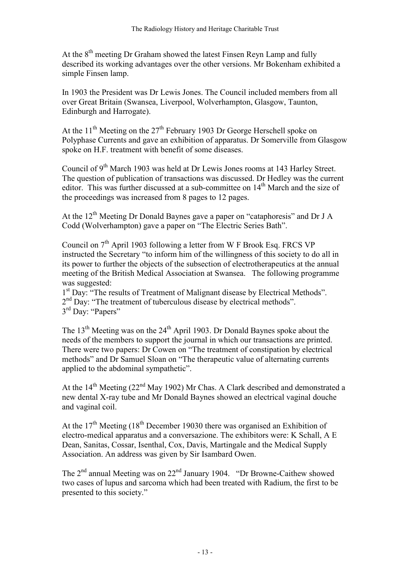At the  $8<sup>th</sup>$  meeting Dr Graham showed the latest Finsen Revn Lamp and fully described its working advantages over the other versions. Mr Bokenham exhibited a simple Finsen lamp.

In 1903 the President was Dr Lewis Jones. The Council included members from all over Great Britain (Swansea, Liverpool, Wolverhampton, Glasgow, Taunton, Edinburgh and Harrogate).

At the 11<sup>th</sup> Meeting on the  $27<sup>th</sup>$  February 1903 Dr George Herschell spoke on Polyphase Currents and gave an exhibition of apparatus. Dr Somerville from Glasgow spoke on H.F. treatment with benefit of some diseases.

Council of 9<sup>th</sup> March 1903 was held at Dr Lewis Jones rooms at 143 Harley Street. The question of publication of transactions was discussed. Dr Hedley was the current editor. This was further discussed at a sub-committee on 14<sup>th</sup> March and the size of the proceedings was increased from 8 pages to 12 pages.

At the  $12^{th}$  Meeting Dr Donald Baynes gave a paper on "cataphoresis" and Dr J A Codd (Wolverhampton) gave a paper on "The Electric Series Bath".

Council on  $7<sup>th</sup>$  April 1903 following a letter from W F Brook Esq. FRCS VP instructed the Secretary "to inform him of the willingness of this society to do all in its power to further the objects of the subsection of electrotherapeutics at the annual meeting of the British Medical Association at Swansea. The following programme was suggested:

1<sup>st</sup> Day: "The results of Treatment of Malignant disease by Electrical Methods". 2<sup>nd</sup> Day: "The treatment of tuberculous disease by electrical methods". 3<sup>rd</sup> Day: "Papers"

The  $13<sup>th</sup>$  Meeting was on the  $24<sup>th</sup>$  April 1903. Dr Donald Baynes spoke about the needs of the members to support the journal in which our transactions are printed. There were two papers: Dr Cowen on "The treatment of constipation by electrical methods" and Dr Samuel Sloan on "The therapeutic value of alternating currents applied to the abdominal sympathetic".

At the  $14^{th}$  Meeting (22<sup>nd</sup> May 1902) Mr Chas. A Clark described and demonstrated a new dental X-ray tube and Mr Donald Baynes showed an electrical vaginal douche and vaginal coil.

At the  $17<sup>th</sup>$  Meeting (18<sup>th</sup> December 19030 there was organised an Exhibition of electro-medical apparatus and a conversazione. The exhibitors were: K Schall, A E Dean, Sanitas, Cossar, Isenthal, Cox, Davis, Martingale and the Medical Supply Association. An address was given by Sir Isambard Owen.

The  $2<sup>nd</sup>$  annual Meeting was on  $22<sup>nd</sup>$  January 1904. "Dr Browne-Caithew showed two cases of lupus and sarcoma which had been treated with Radium, the first to be presented to this society."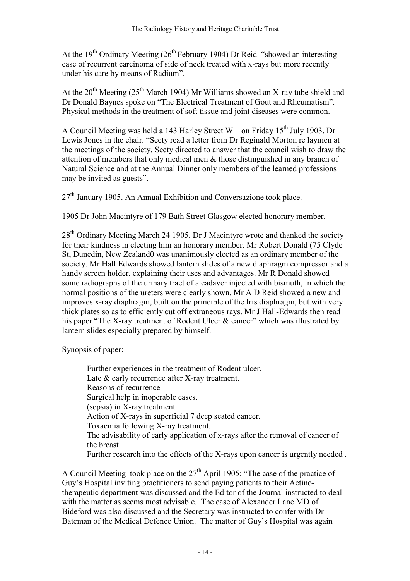At the 19<sup>th</sup> Ordinary Meeting ( $26<sup>th</sup>$  February 1904) Dr Reid "showed an interesting case of recurrent carcinoma of side of neck treated with x-rays but more recently under his care by means of Radium".

At the  $20^{th}$  Meeting ( $25^{th}$  March 1904) Mr Williams showed an X-ray tube shield and Dr Donald Baynes spoke on "The Electrical Treatment of Gout and Rheumatism". Physical methods in the treatment of soft tissue and joint diseases were common.

A Council Meeting was held a 143 Harley Street W on Friday 15<sup>th</sup> July 1903, Dr Lewis Jones in the chair. "Secty read a letter from Dr Reginald Morton re laymen at the meetings of the society. Secty directed to answer that the council wish to draw the attention of members that only medical men & those distinguished in any branch of Natural Science and at the Annual Dinner only members of the learned professions may be invited as guests".

 $27<sup>th</sup>$  January 1905. An Annual Exhibition and Conversazione took place.

1905 Dr John Macintyre of 179 Bath Street Glasgow elected honorary member.

28<sup>th</sup> Ordinary Meeting March 24 1905. Dr J Macintyre wrote and thanked the society for their kindness in electing him an honorary member. Mr Robert Donald (75 Clyde St, Dunedin, New Zealand0 was unanimously elected as an ordinary member of the society. Mr Hall Edwards showed lantern slides of a new diaphragm compressor and a handy screen holder, explaining their uses and advantages. Mr R Donald showed some radiographs of the urinary tract of a cadaver injected with bismuth, in which the normal positions of the ureters were clearly shown. Mr A D Reid showed a new and improves x-ray diaphragm, built on the principle of the Iris diaphragm, but with very thick plates so as to efficiently cut off extraneous rays. Mr J Hall-Edwards then read his paper "The X-ray treatment of Rodent Ulcer & cancer" which was illustrated by lantern slides especially prepared by himself.

Synopsis of paper:

Further experiences in the treatment of Rodent ulcer. Late & early recurrence after X-ray treatment. Reasons of recurrence Surgical help in inoperable cases. (sepsis) in X-ray treatment Action of X-rays in superficial 7 deep seated cancer. Toxaemia following X-ray treatment. The advisability of early application of x-rays after the removal of cancer of the breast Further research into the effects of the X-rays upon cancer is urgently needed .

A Council Meeting took place on the  $27<sup>th</sup>$  April 1905: "The case of the practice of Guy's Hospital inviting practitioners to send paying patients to their Actinotherapeutic department was discussed and the Editor of the Journal instructed to deal with the matter as seems most advisable. The case of Alexander Lane MD of Bideford was also discussed and the Secretary was instructed to confer with Dr Bateman of the Medical Defence Union. The matter of Guy's Hospital was again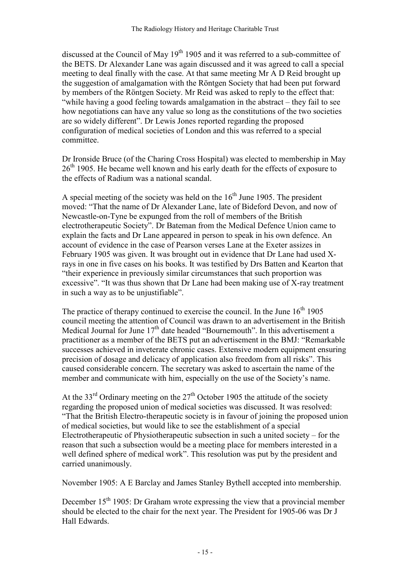discussed at the Council of May  $19<sup>th</sup> 1905$  and it was referred to a sub-committee of the BETS. Dr Alexander Lane was again discussed and it was agreed to call a special meeting to deal finally with the case. At that same meeting Mr A D Reid brought up the suggestion of amalgamation with the Röntgen Society that had been put forward by members of the Röntgen Society. Mr Reid was asked to reply to the effect that: "while having a good feeling towards amalgamation in the abstract – they fail to see how negotiations can have any value so long as the constitutions of the two societies are so widely different". Dr Lewis Jones reported regarding the proposed configuration of medical societies of London and this was referred to a special committee.

Dr Ironside Bruce (of the Charing Cross Hospital) was elected to membership in May 26<sup>th</sup> 1905. He became well known and his early death for the effects of exposure to the effects of Radium was a national scandal.

A special meeting of the society was held on the  $16<sup>th</sup>$  June 1905. The president moved: "That the name of Dr Alexander Lane, late of Bideford Devon, and now of Newcastle-on-Tyne be expunged from the roll of members of the British electrotherapeutic Society". Dr Bateman from the Medical Defence Union came to explain the facts and Dr Lane appeared in person to speak in his own defence. An account of evidence in the case of Pearson verses Lane at the Exeter assizes in February 1905 was given. It was brought out in evidence that Dr Lane had used Xrays in one in five cases on his books. It was testified by Drs Batten and Kearton that "their experience in previously similar circumstances that such proportion was excessive". "It was thus shown that Dr Lane had been making use of X-ray treatment in such a way as to be unjustifiable".

The practice of therapy continued to exercise the council. In the June  $16<sup>th</sup> 1905$ council meeting the attention of Council was drawn to an advertisement in the British Medical Journal for June  $17<sup>th</sup>$  date headed "Bournemouth". In this advertisement a practitioner as a member of the BETS put an advertisement in the BMJ: "Remarkable successes achieved in inveterate chronic cases. Extensive modern equipment ensuring precision of dosage and delicacy of application also freedom from all risks". This caused considerable concern. The secretary was asked to ascertain the name of the member and communicate with him, especially on the use of the Society's name.

At the 33<sup>rd</sup> Ordinary meeting on the  $27<sup>th</sup>$  October 1905 the attitude of the society regarding the proposed union of medical societies was discussed. It was resolved: "That the British Electro-therapeutic society is in favour of joining the proposed union of medical societies, but would like to see the establishment of a special Electrotherapeutic of Physiotherapeutic subsection in such a united society – for the reason that such a subsection would be a meeting place for members interested in a well defined sphere of medical work". This resolution was put by the president and carried unanimously.

November 1905: A E Barclay and James Stanley Bythell accepted into membership.

December  $15<sup>th</sup> 1905$ : Dr Graham wrote expressing the view that a provincial member should be elected to the chair for the next year. The President for 1905-06 was Dr J Hall Edwards.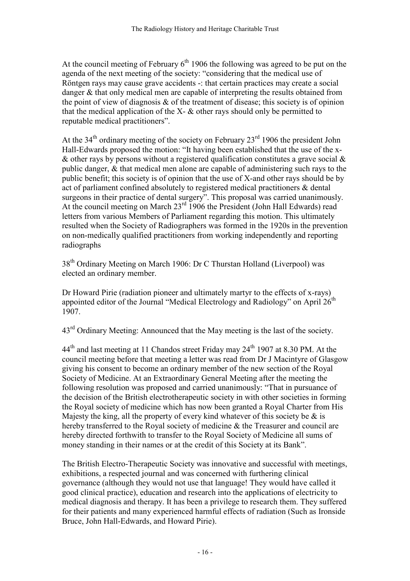At the council meeting of February  $6<sup>th</sup>$  1906 the following was agreed to be put on the agenda of the next meeting of the society: "considering that the medical use of Röntgen rays may cause grave accidents -: that certain practices may create a social danger & that only medical men are capable of interpreting the results obtained from the point of view of diagnosis  $\&$  of the treatment of disease; this society is of opinion that the medical application of the X- & other rays should only be permitted to reputable medical practitioners".

At the  $34<sup>th</sup>$  ordinary meeting of the society on February  $23<sup>rd</sup>$  1906 the president John Hall-Edwards proposed the motion: "It having been established that the use of the x-  $\&$  other rays by persons without a registered qualification constitutes a grave social  $\&$ public danger, & that medical men alone are capable of administering such rays to the public benefit; this society is of opinion that the use of X-and other rays should be by act of parliament confined absolutely to registered medical practitioners & dental surgeons in their practice of dental surgery". This proposal was carried unanimously. At the council meeting on March  $23<sup>rd</sup>$  1906 the President (John Hall Edwards) read letters from various Members of Parliament regarding this motion. This ultimately resulted when the Society of Radiographers was formed in the 1920s in the prevention on non-medically qualified practitioners from working independently and reporting radiographs

38th Ordinary Meeting on March 1906: Dr C Thurstan Holland (Liverpool) was elected an ordinary member.

Dr Howard Pirie (radiation pioneer and ultimately martyr to the effects of x-rays) appointed editor of the Journal "Medical Electrology and Radiology" on April  $26<sup>th</sup>$ 1907.

43rd Ordinary Meeting: Announced that the May meeting is the last of the society.

 $44<sup>th</sup>$  and last meeting at 11 Chandos street Friday may  $24<sup>th</sup>$  1907 at 8.30 PM. At the council meeting before that meeting a letter was read from Dr J Macintyre of Glasgow giving his consent to become an ordinary member of the new section of the Royal Society of Medicine. At an Extraordinary General Meeting after the meeting the following resolution was proposed and carried unanimously: "That in pursuance of the decision of the British electrotherapeutic society in with other societies in forming the Royal society of medicine which has now been granted a Royal Charter from His Majesty the king, all the property of every kind whatever of this society be  $\&$  is hereby transferred to the Royal society of medicine & the Treasurer and council are hereby directed forthwith to transfer to the Royal Society of Medicine all sums of money standing in their names or at the credit of this Society at its Bank".

The British Electro-Therapeutic Society was innovative and successful with meetings, exhibitions, a respected journal and was concerned with furthering clinical governance (although they would not use that language! They would have called it good clinical practice), education and research into the applications of electricity to medical diagnosis and therapy. It has been a privilege to research them. They suffered for their patients and many experienced harmful effects of radiation (Such as Ironside Bruce, John Hall-Edwards, and Howard Pirie).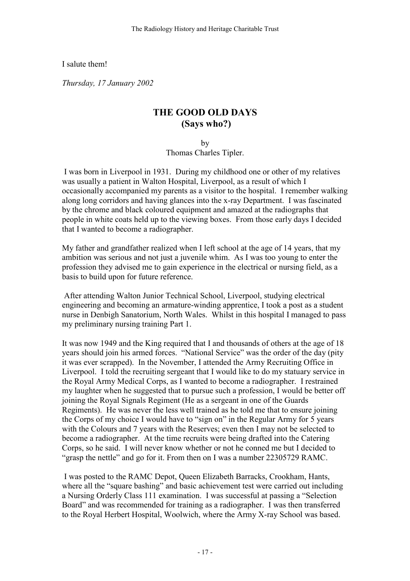I salute them!

Thursday, 17 January 2002

## THE GOOD OLD DAYS (Says who?)

by Thomas Charles Tipler.

 I was born in Liverpool in 1931. During my childhood one or other of my relatives was usually a patient in Walton Hospital, Liverpool, as a result of which I occasionally accompanied my parents as a visitor to the hospital. I remember walking along long corridors and having glances into the x-ray Department. I was fascinated by the chrome and black coloured equipment and amazed at the radiographs that people in white coats held up to the viewing boxes. From those early days I decided that I wanted to become a radiographer.

My father and grandfather realized when I left school at the age of 14 years, that my ambition was serious and not just a juvenile whim. As I was too young to enter the profession they advised me to gain experience in the electrical or nursing field, as a basis to build upon for future reference.

 After attending Walton Junior Technical School, Liverpool, studying electrical engineering and becoming an armature-winding apprentice, I took a post as a student nurse in Denbigh Sanatorium, North Wales. Whilst in this hospital I managed to pass my preliminary nursing training Part 1.

It was now 1949 and the King required that I and thousands of others at the age of 18 years should join his armed forces. "National Service" was the order of the day (pity it was ever scrapped). In the November, I attended the Army Recruiting Office in Liverpool. I told the recruiting sergeant that I would like to do my statuary service in the Royal Army Medical Corps, as I wanted to become a radiographer. I restrained my laughter when he suggested that to pursue such a profession, I would be better off joining the Royal Signals Regiment (He as a sergeant in one of the Guards Regiments). He was never the less well trained as he told me that to ensure joining the Corps of my choice I would have to "sign on" in the Regular Army for 5 years with the Colours and 7 years with the Reserves; even then I may not be selected to become a radiographer. At the time recruits were being drafted into the Catering Corps, so he said. I will never know whether or not he conned me but I decided to "grasp the nettle" and go for it. From then on I was a number 22305729 RAMC.

 I was posted to the RAMC Depot, Queen Elizabeth Barracks, Crookham, Hants, where all the "square bashing" and basic achievement test were carried out including a Nursing Orderly Class 111 examination. I was successful at passing a "Selection Board" and was recommended for training as a radiographer. I was then transferred to the Royal Herbert Hospital, Woolwich, where the Army X-ray School was based.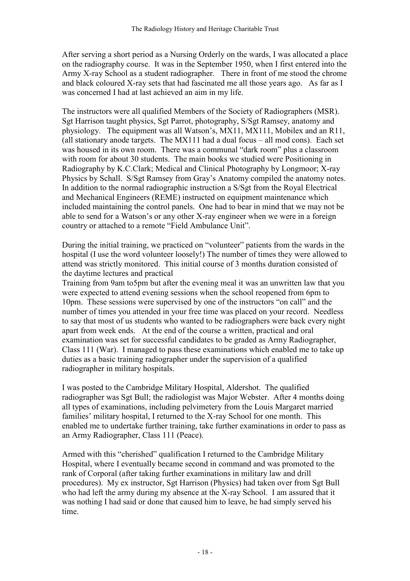After serving a short period as a Nursing Orderly on the wards, I was allocated a place on the radiography course. It was in the September 1950, when I first entered into the Army X-ray School as a student radiographer. There in front of me stood the chrome and black coloured X-ray sets that had fascinated me all those years ago. As far as I was concerned I had at last achieved an aim in my life.

The instructors were all qualified Members of the Society of Radiographers (MSR). Sgt Harrison taught physics, Sgt Parrot, photography, S/Sgt Ramsey, anatomy and physiology. The equipment was all Watson's, MX11, MX111, Mobilex and an R11, (all stationary anode targets. The MX111 had a dual focus – all mod cons). Each set was housed in its own room. There was a communal "dark room" plus a classroom with room for about 30 students. The main books we studied were Positioning in Radiography by K.C.Clark; Medical and Clinical Photography by Longmoor; X-ray Physics by Schall. S/Sgt Ramsey from Gray's Anatomy compiled the anatomy notes. In addition to the normal radiographic instruction a S/Sgt from the Royal Electrical and Mechanical Engineers (REME) instructed on equipment maintenance which included maintaining the control panels. One had to bear in mind that we may not be able to send for a Watson's or any other X-ray engineer when we were in a foreign country or attached to a remote "Field Ambulance Unit".

During the initial training, we practiced on "volunteer" patients from the wards in the hospital (I use the word volunteer loosely!) The number of times they were allowed to attend was strictly monitored. This initial course of 3 months duration consisted of the daytime lectures and practical

Training from 9am to5pm but after the evening meal it was an unwritten law that you were expected to attend evening sessions when the school reopened from 6pm to 10pm. These sessions were supervised by one of the instructors "on call" and the number of times you attended in your free time was placed on your record. Needless to say that most of us students who wanted to be radiographers were back every night apart from week ends. At the end of the course a written, practical and oral examination was set for successful candidates to be graded as Army Radiographer, Class 111 (War). I managed to pass these examinations which enabled me to take up duties as a basic training radiographer under the supervision of a qualified radiographer in military hospitals.

I was posted to the Cambridge Military Hospital, Aldershot. The qualified radiographer was Sgt Bull; the radiologist was Major Webster. After 4 months doing all types of examinations, including pelvimetery from the Louis Margaret married families' military hospital, I returned to the X-ray School for one month. This enabled me to undertake further training, take further examinations in order to pass as an Army Radiographer, Class 111 (Peace).

Armed with this "cherished" qualification I returned to the Cambridge Military Hospital, where I eventually became second in command and was promoted to the rank of Corporal (after taking further examinations in military law and drill procedures). My ex instructor, Sgt Harrison (Physics) had taken over from Sgt Bull who had left the army during my absence at the X-ray School. I am assured that it was nothing I had said or done that caused him to leave, he had simply served his time.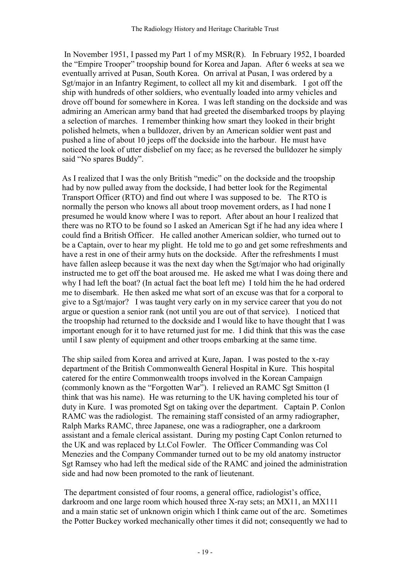In November 1951, I passed my Part 1 of my MSR(R). In February 1952, I boarded the "Empire Trooper" troopship bound for Korea and Japan. After 6 weeks at sea we eventually arrived at Pusan, South Korea. On arrival at Pusan, I was ordered by a Sgt/major in an Infantry Regiment, to collect all my kit and disembark. I got off the ship with hundreds of other soldiers, who eventually loaded into army vehicles and drove off bound for somewhere in Korea. I was left standing on the dockside and was admiring an American army band that had greeted the disembarked troops by playing a selection of marches. I remember thinking how smart they looked in their bright polished helmets, when a bulldozer, driven by an American soldier went past and pushed a line of about 10 jeeps off the dockside into the harbour. He must have noticed the look of utter disbelief on my face; as he reversed the bulldozer he simply said "No spares Buddy".

As I realized that I was the only British "medic" on the dockside and the troopship had by now pulled away from the dockside, I had better look for the Regimental Transport Officer (RTO) and find out where I was supposed to be. The RTO is normally the person who knows all about troop movement orders, as I had none I presumed he would know where I was to report. After about an hour I realized that there was no RTO to be found so I asked an American Sgt if he had any idea where I could find a British Officer. He called another American soldier, who turned out to be a Captain, over to hear my plight. He told me to go and get some refreshments and have a rest in one of their army huts on the dockside. After the refreshments I must have fallen asleep because it was the next day when the Sgt/major who had originally instructed me to get off the boat aroused me. He asked me what I was doing there and why I had left the boat? (In actual fact the boat left me) I told him the he had ordered me to disembark. He then asked me what sort of an excuse was that for a corporal to give to a Sgt/major? I was taught very early on in my service career that you do not argue or question a senior rank (not until you are out of that service). I noticed that the troopship had returned to the dockside and I would like to have thought that I was important enough for it to have returned just for me. I did think that this was the case until I saw plenty of equipment and other troops embarking at the same time.

The ship sailed from Korea and arrived at Kure, Japan. I was posted to the x-ray department of the British Commonwealth General Hospital in Kure. This hospital catered for the entire Commonwealth troops involved in the Korean Campaign (commonly known as the "Forgotten War"). I relieved an RAMC Sgt Smitton (I think that was his name). He was returning to the UK having completed his tour of duty in Kure. I was promoted Sgt on taking over the department. Captain P. Conlon RAMC was the radiologist. The remaining staff consisted of an army radiographer, Ralph Marks RAMC, three Japanese, one was a radiographer, one a darkroom assistant and a female clerical assistant. During my posting Capt Conlon returned to the UK and was replaced by Lt.Col Fowler. The Officer Commanding was Col Menezies and the Company Commander turned out to be my old anatomy instructor Sgt Ramsey who had left the medical side of the RAMC and joined the administration side and had now been promoted to the rank of lieutenant.

 The department consisted of four rooms, a general office, radiologist's office, darkroom and one large room which housed three X-ray sets; an MX11, an MX111 and a main static set of unknown origin which I think came out of the arc. Sometimes the Potter Buckey worked mechanically other times it did not; consequently we had to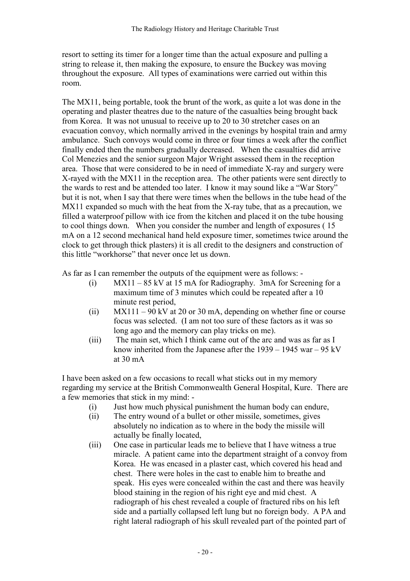resort to setting its timer for a longer time than the actual exposure and pulling a string to release it, then making the exposure, to ensure the Buckey was moving throughout the exposure. All types of examinations were carried out within this room.

The MX11, being portable, took the brunt of the work, as quite a lot was done in the operating and plaster theatres due to the nature of the casualties being brought back from Korea. It was not unusual to receive up to 20 to 30 stretcher cases on an evacuation convoy, which normally arrived in the evenings by hospital train and army ambulance. Such convoys would come in three or four times a week after the conflict finally ended then the numbers gradually decreased. When the casualties did arrive Col Menezies and the senior surgeon Major Wright assessed them in the reception area. Those that were considered to be in need of immediate X-ray and surgery were X-rayed with the MX11 in the reception area. The other patients were sent directly to the wards to rest and be attended too later. I know it may sound like a "War Story" but it is not, when I say that there were times when the bellows in the tube head of the MX11 expanded so much with the heat from the X-ray tube, that as a precaution, we filled a waterproof pillow with ice from the kitchen and placed it on the tube housing to cool things down. When you consider the number and length of exposures ( 15 mA on a 12 second mechanical hand held exposure timer, sometimes twice around the clock to get through thick plasters) it is all credit to the designers and construction of this little "workhorse" that never once let us down.

As far as I can remember the outputs of the equipment were as follows: -

- (i) MX11 85 kV at 15 mA for Radiography. 3mA for Screening for a maximum time of 3 minutes which could be repeated after a 10 minute rest period,
- (ii)  $MX111 90$  kV at 20 or 30 mA, depending on whether fine or course focus was selected. (I am not too sure of these factors as it was so long ago and the memory can play tricks on me).
- (iii) The main set, which I think came out of the arc and was as far as I know inherited from the Japanese after the 1939 – 1945 war – 95 kV at 30 mA

I have been asked on a few occasions to recall what sticks out in my memory regarding my service at the British Commonwealth General Hospital, Kure. There are a few memories that stick in my mind: -

- (i) Just how much physical punishment the human body can endure,
- (ii) The entry wound of a bullet or other missile, sometimes, gives absolutely no indication as to where in the body the missile will actually be finally located,
- (iii) One case in particular leads me to believe that I have witness a true miracle. A patient came into the department straight of a convoy from Korea. He was encased in a plaster cast, which covered his head and chest. There were holes in the cast to enable him to breathe and speak. His eyes were concealed within the cast and there was heavily blood staining in the region of his right eye and mid chest. A radiograph of his chest revealed a couple of fractured ribs on his left side and a partially collapsed left lung but no foreign body. A PA and right lateral radiograph of his skull revealed part of the pointed part of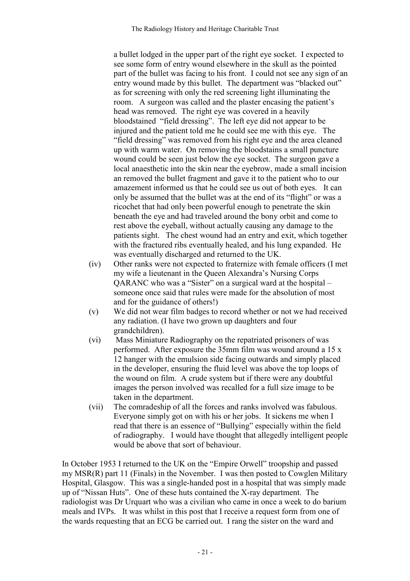a bullet lodged in the upper part of the right eye socket. I expected to see some form of entry wound elsewhere in the skull as the pointed part of the bullet was facing to his front. I could not see any sign of an entry wound made by this bullet. The department was "blacked out" as for screening with only the red screening light illuminating the room. A surgeon was called and the plaster encasing the patient's head was removed. The right eye was covered in a heavily bloodstained "field dressing". The left eye did not appear to be injured and the patient told me he could see me with this eye. The "field dressing" was removed from his right eye and the area cleaned up with warm water. On removing the bloodstains a small puncture wound could be seen just below the eye socket. The surgeon gave a local anaesthetic into the skin near the eyebrow, made a small incision an removed the bullet fragment and gave it to the patient who to our amazement informed us that he could see us out of both eyes. It can only be assumed that the bullet was at the end of its "flight" or was a ricochet that had only been powerful enough to penetrate the skin beneath the eye and had traveled around the bony orbit and come to rest above the eyeball, without actually causing any damage to the patients sight. The chest wound had an entry and exit, which together with the fractured ribs eventually healed, and his lung expanded. He was eventually discharged and returned to the UK.

- (iv) Other ranks were not expected to fraternize with female officers (I met my wife a lieutenant in the Queen Alexandra's Nursing Corps QARANC who was a "Sister" on a surgical ward at the hospital – someone once said that rules were made for the absolution of most and for the guidance of others!)
- (v) We did not wear film badges to record whether or not we had received any radiation. (I have two grown up daughters and four grandchildren).
- (vi) Mass Miniature Radiography on the repatriated prisoners of was performed. After exposure the 35mm film was wound around a 15 x 12 hanger with the emulsion side facing outwards and simply placed in the developer, ensuring the fluid level was above the top loops of the wound on film. A crude system but if there were any doubtful images the person involved was recalled for a full size image to be taken in the department.
- (vii) The comradeship of all the forces and ranks involved was fabulous. Everyone simply got on with his or her jobs. It sickens me when I read that there is an essence of "Bullying" especially within the field of radiography. I would have thought that allegedly intelligent people would be above that sort of behaviour.

In October 1953 I returned to the UK on the "Empire Orwell" troopship and passed my MSR(R) part 11 (Finals) in the November. I was then posted to Cowglen Military Hospital, Glasgow. This was a single-handed post in a hospital that was simply made up of "Nissan Huts". One of these huts contained the X-ray department. The radiologist was Dr Urquart who was a civilian who came in once a week to do barium meals and IVPs. It was whilst in this post that I receive a request form from one of the wards requesting that an ECG be carried out. I rang the sister on the ward and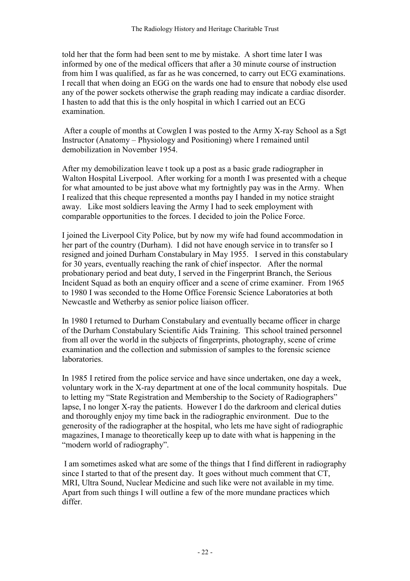told her that the form had been sent to me by mistake. A short time later I was informed by one of the medical officers that after a 30 minute course of instruction from him I was qualified, as far as he was concerned, to carry out ECG examinations. I recall that when doing an EGG on the wards one had to ensure that nobody else used any of the power sockets otherwise the graph reading may indicate a cardiac disorder. I hasten to add that this is the only hospital in which I carried out an ECG examination.

 After a couple of months at Cowglen I was posted to the Army X-ray School as a Sgt Instructor (Anatomy – Physiology and Positioning) where I remained until demobilization in November 1954.

After my demobilization leave t took up a post as a basic grade radiographer in Walton Hospital Liverpool. After working for a month I was presented with a cheque for what amounted to be just above what my fortnightly pay was in the Army. When I realized that this cheque represented a months pay I handed in my notice straight away. Like most soldiers leaving the Army I had to seek employment with comparable opportunities to the forces. I decided to join the Police Force.

I joined the Liverpool City Police, but by now my wife had found accommodation in her part of the country (Durham). I did not have enough service in to transfer so I resigned and joined Durham Constabulary in May 1955. I served in this constabulary for 30 years, eventually reaching the rank of chief inspector. After the normal probationary period and beat duty, I served in the Fingerprint Branch, the Serious Incident Squad as both an enquiry officer and a scene of crime examiner. From 1965 to 1980 I was seconded to the Home Office Forensic Science Laboratories at both Newcastle and Wetherby as senior police liaison officer.

In 1980 I returned to Durham Constabulary and eventually became officer in charge of the Durham Constabulary Scientific Aids Training. This school trained personnel from all over the world in the subjects of fingerprints, photography, scene of crime examination and the collection and submission of samples to the forensic science **laboratories** 

In 1985 I retired from the police service and have since undertaken, one day a week, voluntary work in the X-ray department at one of the local community hospitals. Due to letting my "State Registration and Membership to the Society of Radiographers" lapse, I no longer X-ray the patients. However I do the darkroom and clerical duties and thoroughly enjoy my time back in the radiographic environment. Due to the generosity of the radiographer at the hospital, who lets me have sight of radiographic magazines, I manage to theoretically keep up to date with what is happening in the "modern world of radiography".

 I am sometimes asked what are some of the things that I find different in radiography since I started to that of the present day. It goes without much comment that CT, MRI, Ultra Sound, Nuclear Medicine and such like were not available in my time. Apart from such things I will outline a few of the more mundane practices which differ.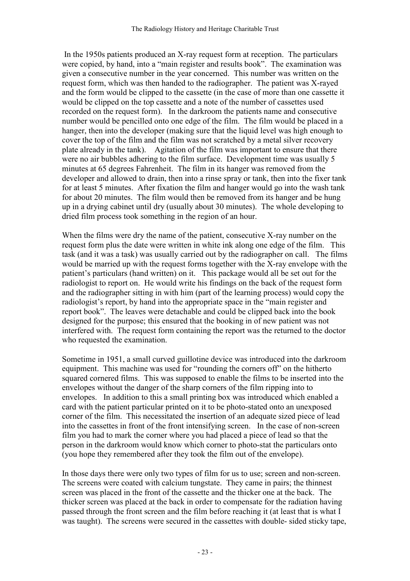In the 1950s patients produced an X-ray request form at reception. The particulars were copied, by hand, into a "main register and results book". The examination was given a consecutive number in the year concerned. This number was written on the request form, which was then handed to the radiographer. The patient was X-rayed and the form would be clipped to the cassette (in the case of more than one cassette it would be clipped on the top cassette and a note of the number of cassettes used recorded on the request form). In the darkroom the patients name and consecutive number would be pencilled onto one edge of the film. The film would be placed in a hanger, then into the developer (making sure that the liquid level was high enough to cover the top of the film and the film was not scratched by a metal silver recovery plate already in the tank). Agitation of the film was important to ensure that there were no air bubbles adhering to the film surface. Development time was usually 5 minutes at 65 degrees Fahrenheit. The film in its hanger was removed from the developer and allowed to drain, then into a rinse spray or tank, then into the fixer tank for at least 5 minutes. After fixation the film and hanger would go into the wash tank for about 20 minutes. The film would then be removed from its hanger and be hung up in a drying cabinet until dry (usually about 30 minutes). The whole developing to dried film process took something in the region of an hour.

When the films were dry the name of the patient, consecutive X-ray number on the request form plus the date were written in white ink along one edge of the film. This task (and it was a task) was usually carried out by the radiographer on call. The films would be married up with the request forms together with the X-ray envelope with the patient's particulars (hand written) on it. This package would all be set out for the radiologist to report on. He would write his findings on the back of the request form and the radiographer sitting in with him (part of the learning process) would copy the radiologist's report, by hand into the appropriate space in the "main register and report book". The leaves were detachable and could be clipped back into the book designed for the purpose; this ensured that the booking in of new patient was not interfered with. The request form containing the report was the returned to the doctor who requested the examination.

Sometime in 1951, a small curved guillotine device was introduced into the darkroom equipment. This machine was used for "rounding the corners off" on the hitherto squared cornered films. This was supposed to enable the films to be inserted into the envelopes without the danger of the sharp corners of the film ripping into to envelopes. In addition to this a small printing box was introduced which enabled a card with the patient particular printed on it to be photo-stated onto an unexposed corner of the film. This necessitated the insertion of an adequate sized piece of lead into the cassettes in front of the front intensifying screen. In the case of non-screen film you had to mark the corner where you had placed a piece of lead so that the person in the darkroom would know which corner to photo-stat the particulars onto (you hope they remembered after they took the film out of the envelope).

In those days there were only two types of film for us to use; screen and non-screen. The screens were coated with calcium tungstate. They came in pairs; the thinnest screen was placed in the front of the cassette and the thicker one at the back. The thicker screen was placed at the back in order to compensate for the radiation having passed through the front screen and the film before reaching it (at least that is what I was taught). The screens were secured in the cassettes with double- sided sticky tape,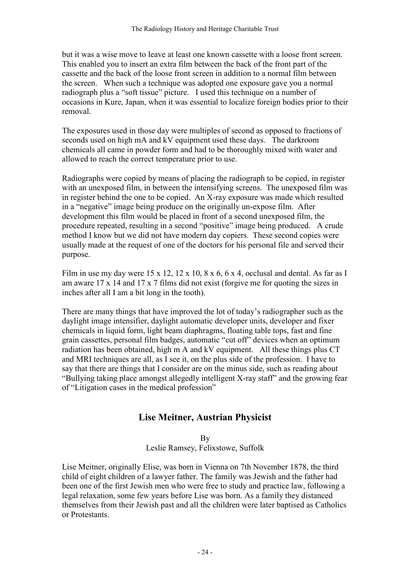but it was a wise move to leave at least one known cassette with a loose front screen. This enabled you to insert an extra film between the back of the front part of the cassette and the back of the loose front screen in addition to a normal film between the screen. When such a technique was adopted one exposure gave you a normal radiograph plus a "soft tissue" picture. I used this technique on a number of occasions in Kure, Japan, when it was essential to localize foreign bodies prior to their removal.

The exposures used in those day were multiples of second as opposed to fractions of seconds used on high mA and kV equipment used these days. The darkroom chemicals all came in powder form and had to be thoroughly mixed with water and allowed to reach the correct temperature prior to use.

Radiographs were copied by means of placing the radiograph to be copied, in register with an unexposed film, in between the intensifying screens. The unexposed film was in register behind the one to be copied. An X-ray exposure was made which resulted in a "negative" image being produce on the originally un-expose film. After development this film would be placed in front of a second unexposed film, the procedure repeated, resulting in a second "positive" image being produced. A crude method I know but we did not have modern day copiers. These second copies were usually made at the request of one of the doctors for his personal file and served their purpose.

Film in use my day were 15 x 12, 12 x 10, 8 x 6, 6 x 4, occlusal and dental. As far as I am aware 17 x 14 and 17 x 7 films did not exist (forgive me for quoting the sizes in inches after all I am a bit long in the tooth).

There are many things that have improved the lot of today's radiographer such as the daylight image intensifier, daylight automatic developer units, developer and fixer chemicals in liquid form, light beam diaphragms, floating table tops, fast and fine grain cassettes, personal film badges, automatic "cut off" devices when an optimum radiation has been obtained, high m A and kV equipment. All these things plus CT and MRI techniques are all, as I see it, on the plus side of the profession. I have to say that there are things that I consider are on the minus side, such as reading about "Bullying taking place amongst allegedly intelligent X-ray staff" and the growing fear of "Litigation cases in the medical profession"

## Lise Meitner, Austrian Physicist

By

Leslie Ramsey, Felixstowe, Suffolk

Lise Meitner, originally Elise, was born in Vienna on 7th November 1878, the third child of eight children of a lawyer father. The family was Jewish and the father had been one of the first Jewish men who were free to study and practice law, following a legal relaxation, some few years before Lise was born. As a family they distanced themselves from their Jewish past and all the children were later baptised as Catholics or Protestants.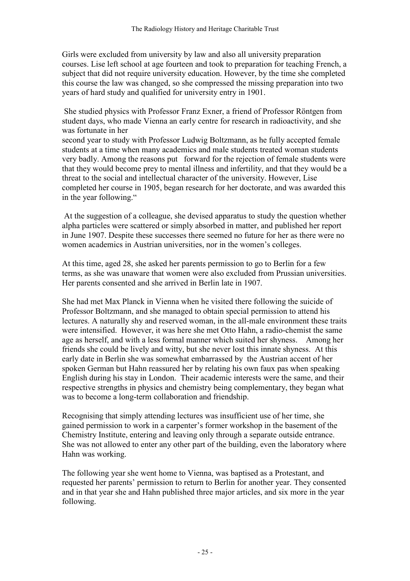Girls were excluded from university by law and also all university preparation courses. Lise left school at age fourteen and took to preparation for teaching French, a subject that did not require university education. However, by the time she completed this course the law was changed, so she compressed the missing preparation into two years of hard study and qualified for university entry in 1901.

 She studied physics with Professor Franz Exner, a friend of Professor Röntgen from student days, who made Vienna an early centre for research in radioactivity, and she was fortunate in her

second year to study with Professor Ludwig Boltzmann, as he fully accepted female students at a time when many academics and male students treated woman students very badly. Among the reasons put forward for the rejection of female students were that they would become prey to mental illness and infertility, and that they would be a threat to the social and intellectual character of the university. However, Lise completed her course in 1905, began research for her doctorate, and was awarded this in the year following."

 At the suggestion of a colleague, she devised apparatus to study the question whether alpha particles were scattered or simply absorbed in matter, and published her report in June 1907. Despite these successes there seemed no future for her as there were no women academics in Austrian universities, nor in the women's colleges.

At this time, aged 28, she asked her parents permission to go to Berlin for a few terms, as she was unaware that women were also excluded from Prussian universities. Her parents consented and she arrived in Berlin late in 1907.

She had met Max Planck in Vienna when he visited there following the suicide of Professor Boltzmann, and she managed to obtain special permission to attend his lectures. A naturally shy and reserved woman, in the all-male environment these traits were intensified. However, it was here she met Otto Hahn, a radio-chemist the same age as herself, and with a less formal manner which suited her shyness. Among her friends she could be lively and witty, but she never lost this innate shyness. At this early date in Berlin she was somewhat embarrassed by the Austrian accent of her spoken German but Hahn reassured her by relating his own faux pas when speaking English during his stay in London. Their academic interests were the same, and their respective strengths in physics and chemistry being complementary, they began what was to become a long-term collaboration and friendship.

Recognising that simply attending lectures was insufficient use of her time, she gained permission to work in a carpenter's former workshop in the basement of the Chemistry Institute, entering and leaving only through a separate outside entrance. She was not allowed to enter any other part of the building, even the laboratory where Hahn was working.

The following year she went home to Vienna, was baptised as a Protestant, and requested her parents' permission to return to Berlin for another year. They consented and in that year she and Hahn published three major articles, and six more in the year following.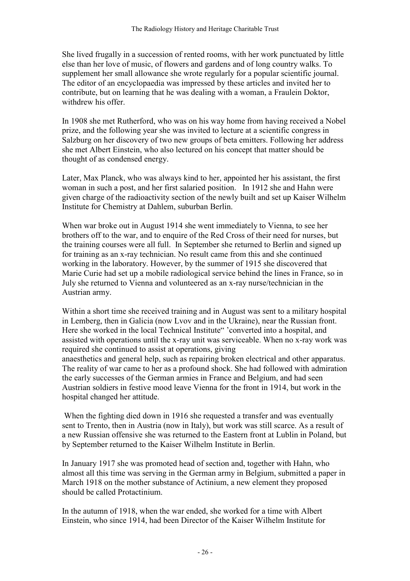She lived frugally in a succession of rented rooms, with her work punctuated by little else than her love of music, of flowers and gardens and of long country walks. To supplement her small allowance she wrote regularly for a popular scientific journal. The editor of an encyclopaedia was impressed by these articles and invited her to contribute, but on learning that he was dealing with a woman, a Fraulein Doktor, withdrew his offer.

In 1908 she met Rutherford, who was on his way home from having received a Nobel prize, and the following year she was invited to lecture at a scientific congress in Salzburg on her discovery of two new groups of beta emitters. Following her address she met Albert Einstein, who also lectured on his concept that matter should be thought of as condensed energy.

Later, Max Planck, who was always kind to her, appointed her his assistant, the first woman in such a post, and her first salaried position. In 1912 she and Hahn were given charge of the radioactivity section of the newly built and set up Kaiser Wilhelm Institute for Chemistry at Dahlem, suburban Berlin.

When war broke out in August 1914 she went immediately to Vienna, to see her brothers off to the war, and to enquire of the Red Cross of their need for nurses, but the training courses were all full. In September she returned to Berlin and signed up for training as an x-ray technician. No result came from this and she continued working in the laboratory. However, by the summer of 1915 she discovered that Marie Curie had set up a mobile radiological service behind the lines in France, so in July she returned to Vienna and volunteered as an x-ray nurse/technician in the Austrian army.

Within a short time she received training and in August was sent to a military hospital in Lemberg, then in Galicia (now Lvov and in the Ukraine), near the Russian front. Here she worked in the local Technical Institute" 'converted into a hospital, and assisted with operations until the x-ray unit was serviceable. When no x-ray work was required she continued to assist at operations, giving anaesthetics and general help, such as repairing broken electrical and other apparatus.

The reality of war came to her as a profound shock. She had followed with admiration the early successes of the German armies in France and Belgium, and had seen Austrian soldiers in festive mood leave Vienna for the front in 1914, but work in the hospital changed her attitude.

 When the fighting died down in 1916 she requested a transfer and was eventually sent to Trento, then in Austria (now in Italy), but work was still scarce. As a result of a new Russian offensive she was returned to the Eastern front at Lublin in Poland, but by September returned to the Kaiser Wilhelm Institute in Berlin.

In January 1917 she was promoted head of section and, together with Hahn, who almost all this time was serving in the German army in Belgium, submitted a paper in March 1918 on the mother substance of Actinium, a new element they proposed should be called Protactinium.

In the autumn of 1918, when the war ended, she worked for a time with Albert Einstein, who since 1914, had been Director of the Kaiser Wilhelm Institute for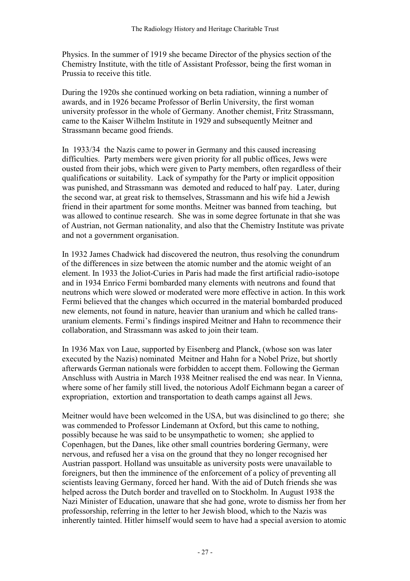Physics. In the summer of 1919 she became Director of the physics section of the Chemistry Institute, with the title of Assistant Professor, being the first woman in Prussia to receive this title.

During the 1920s she continued working on beta radiation, winning a number of awards, and in 1926 became Professor of Berlin University, the first woman university professor in the whole of Germany. Another chemist, Fritz Strassmann, came to the Kaiser Wilhelm Institute in 1929 and subsequently Meitner and Strassmann became good friends.

In 1933/34 the Nazis came to power in Germany and this caused increasing difficulties. Party members were given priority for all public offices, Jews were ousted from their jobs, which were given to Party members, often regardless of their qualifications or suitability. Lack of sympathy for the Party or implicit opposition was punished, and Strassmann was demoted and reduced to half pay. Later, during the second war, at great risk to themselves, Strassmann and his wife hid a Jewish friend in their apartment for some months. Meitner was banned from teaching, but was allowed to continue research. She was in some degree fortunate in that she was of Austrian, not German nationality, and also that the Chemistry Institute was private and not a government organisation.

In 1932 James Chadwick had discovered the neutron, thus resolving the conundrum of the differences in size between the atomic number and the atomic weight of an element. In 1933 the Joliot-Curies in Paris had made the first artificial radio-isotope and in 1934 Enrico Fermi bombarded many elements with neutrons and found that neutrons which were slowed or moderated were more effective in action. In this work Fermi believed that the changes which occurred in the material bombarded produced new elements, not found in nature, heavier than uranium and which he called transuranium elements. Fermi's findings inspired Meitner and Hahn to recommence their collaboration, and Strassmann was asked to join their team.

In 1936 Max von Laue, supported by Eisenberg and Planck, (whose son was later executed by the Nazis) nominated Meitner and Hahn for a Nobel Prize, but shortly afterwards German nationals were forbidden to accept them. Following the German Anschluss with Austria in March 1938 Meitner realised the end was near. In Vienna, where some of her family still lived, the notorious Adolf Eichmann began a career of expropriation, extortion and transportation to death camps against all Jews.

Meitner would have been welcomed in the USA, but was disinclined to go there; she was commended to Professor Lindemann at Oxford, but this came to nothing, possibly because he was said to be unsympathetic to women; she applied to Copenhagen, but the Danes, like other small countries bordering Germany, were nervous, and refused her a visa on the ground that they no longer recognised her Austrian passport. Holland was unsuitable as university posts were unavailable to foreigners, but then the imminence of the enforcement of a policy of preventing all scientists leaving Germany, forced her hand. With the aid of Dutch friends she was helped across the Dutch border and travelled on to Stockholm. In August 1938 the Nazi Minister of Education, unaware that she had gone, wrote to dismiss her from her professorship, referring in the letter to her Jewish blood, which to the Nazis was inherently tainted. Hitler himself would seem to have had a special aversion to atomic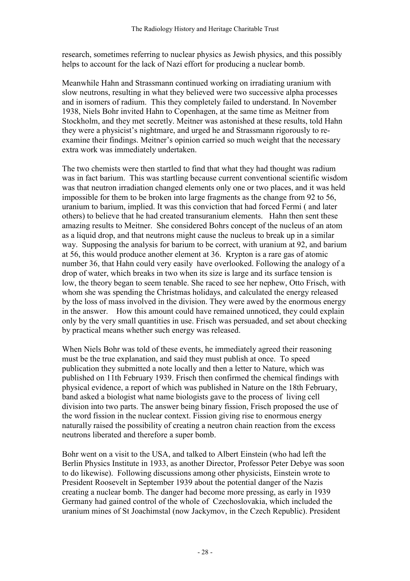research, sometimes referring to nuclear physics as Jewish physics, and this possibly helps to account for the lack of Nazi effort for producing a nuclear bomb.

Meanwhile Hahn and Strassmann continued working on irradiating uranium with slow neutrons, resulting in what they believed were two successive alpha processes and in isomers of radium. This they completely failed to understand. In November 1938, Niels Bohr invited Hahn to Copenhagen, at the same time as Meitner from Stockholm, and they met secretly. Meitner was astonished at these results, told Hahn they were a physicist's nightmare, and urged he and Strassmann rigorously to reexamine their findings. Meitner's opinion carried so much weight that the necessary extra work was immediately undertaken.

The two chemists were then startled to find that what they had thought was radium was in fact barium. This was startling because current conventional scientific wisdom was that neutron irradiation changed elements only one or two places, and it was held impossible for them to be broken into large fragments as the change from 92 to 56, uranium to barium, implied. It was this conviction that had forced Fermi ( and later others) to believe that he had created transuranium elements. Hahn then sent these amazing results to Meitner. She considered Bohrs concept of the nucleus of an atom as a liquid drop, and that neutrons might cause the nucleus to break up in a similar way. Supposing the analysis for barium to be correct, with uranium at 92, and barium at 56, this would produce another element at 36. Krypton is a rare gas of atomic number 36, that Hahn could very easily have overlooked. Following the analogy of a drop of water, which breaks in two when its size is large and its surface tension is low, the theory began to seem tenable. She raced to see her nephew, Otto Frisch, with whom she was spending the Christmas holidays, and calculated the energy released by the loss of mass involved in the division. They were awed by the enormous energy in the answer. How this amount could have remained unnoticed, they could explain only by the very small quantities in use. Frisch was persuaded, and set about checking by practical means whether such energy was released.

When Niels Bohr was told of these events, he immediately agreed their reasoning must be the true explanation, and said they must publish at once. To speed publication they submitted a note locally and then a letter to Nature, which was published on 11th February 1939. Frisch then confirmed the chemical findings with physical evidence, a report of which was published in Nature on the 18th February, band asked a biologist what name biologists gave to the process of living cell division into two parts. The answer being binary fission, Frisch proposed the use of the word fission in the nuclear context. Fission giving rise to enormous energy naturally raised the possibility of creating a neutron chain reaction from the excess neutrons liberated and therefore a super bomb.

Bohr went on a visit to the USA, and talked to Albert Einstein (who had left the Berlin Physics Institute in 1933, as another Director, Professor Peter Debye was soon to do likewise). Following discussions among other physicists, Einstein wrote to President Roosevelt in September 1939 about the potential danger of the Nazis creating a nuclear bomb. The danger had become more pressing, as early in 1939 Germany had gained control of the whole of Czechoslovakia, which included the uranium mines of St Joachimstal (now Jackymov, in the Czech Republic). President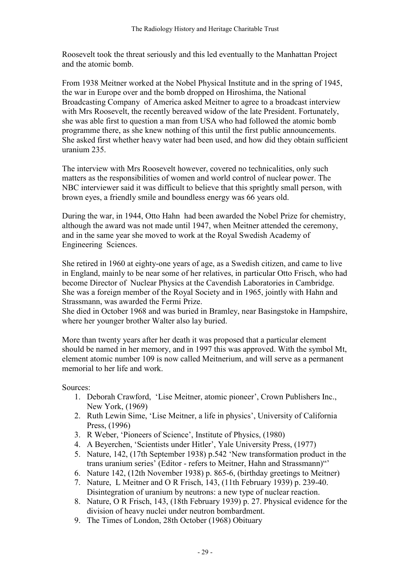Roosevelt took the threat seriously and this led eventually to the Manhattan Project and the atomic bomb.

From 1938 Meitner worked at the Nobel Physical Institute and in the spring of 1945, the war in Europe over and the bomb dropped on Hiroshima, the National Broadcasting Company of America asked Meitner to agree to a broadcast interview with Mrs Roosevelt, the recently bereaved widow of the late President. Fortunately, she was able first to question a man from USA who had followed the atomic bomb programme there, as she knew nothing of this until the first public announcements. She asked first whether heavy water had been used, and how did they obtain sufficient uranium 235.

The interview with Mrs Roosevelt however, covered no technicalities, only such matters as the responsibilities of women and world control of nuclear power. The NBC interviewer said it was difficult to believe that this sprightly small person, with brown eyes, a friendly smile and boundless energy was 66 years old.

During the war, in 1944, Otto Hahn had been awarded the Nobel Prize for chemistry, although the award was not made until 1947, when Meitner attended the ceremony, and in the same year she moved to work at the Royal Swedish Academy of Engineering Sciences.

She retired in 1960 at eighty-one years of age, as a Swedish citizen, and came to live in England, mainly to be near some of her relatives, in particular Otto Frisch, who had become Director of Nuclear Physics at the Cavendish Laboratories in Cambridge. She was a foreign member of the Royal Society and in 1965, jointly with Hahn and Strassmann, was awarded the Fermi Prize.

She died in October 1968 and was buried in Bramley, near Basingstoke in Hampshire, where her younger brother Walter also lay buried.

More than twenty years after her death it was proposed that a particular element should be named in her memory, and in 1997 this was approved. With the symbol Mt, element atomic number 109 is now called Meitnerium, and will serve as a permanent memorial to her life and work.

Sources:

- 1. Deborah Crawford, 'Lise Meitner, atomic pioneer', Crown Publishers Inc., New York, (1969)
- 2. Ruth Lewin Sime, 'Lise Meitner, a life in physics', University of California Press, (1996)
- 3. R Weber, 'Pioneers of Science', Institute of Physics, (1980)
- 4. A Beyerchen, 'Scientists under Hitler', Yale University Press, (1977)
- 5. Nature, 142, (17th September 1938) p.542 'New transformation product in the trans uranium series' (Editor - refers to Meitner, Hahn and Strassmann)"'
- 6. Nature 142, (12th November 1938) p. 865-6, (birthday greetings to Meitner)
- 7. Nature, L Meitner and O R Frisch, 143, (11th February 1939) p. 239-40. Disintegration of uranium by neutrons: a new type of nuclear reaction.
- 8. Nature, O R Frisch, 143, (18th February 1939) p. 27. Physical evidence for the division of heavy nuclei under neutron bombardment.
- 9. The Times of London, 28th October (1968) Obituary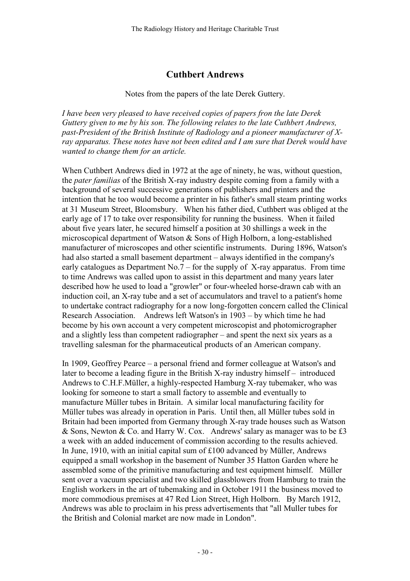## Cuthbert Andrews

#### Notes from the papers of the late Derek Guttery.

I have been very pleased to have received copies of papers fron the late Derek Guttery given to me by his son. The following relates to the late Cuthbert Andrews, past-President of the British Institute of Radiology and a pioneer manufacturer of Xray apparatus. These notes have not been edited and I am sure that Derek would have wanted to change them for an article.

When Cuthbert Andrews died in 1972 at the age of ninety, he was, without question, the pater familias of the British X-ray industry despite coming from a family with a background of several successive generations of publishers and printers and the intention that he too would become a printer in his father's small steam printing works at 31 Museum Street, Bloomsbury. When his father died, Cuthbert was obliged at the early age of 17 to take over responsibility for running the business. When it failed about five years later, he secured himself a position at 30 shillings a week in the microscopical department of Watson & Sons of High Holborn, a long-established manufacturer of microscopes and other scientific instruments. During 1896, Watson's had also started a small basement department – always identified in the company's early catalogues as Department No.7 – for the supply of  $X$ -ray apparatus. From time to time Andrews was called upon to assist in this department and many years later described how he used to load a "growler" or four-wheeled horse-drawn cab with an induction coil, an X-ray tube and a set of accumulators and travel to a patient's home to undertake contract radiography for a now long-forgotten concern called the Clinical Research Association. Andrews left Watson's in 1903 – by which time he had become by his own account a very competent microscopist and photomicrographer and a slightly less than competent radiographer – and spent the next six years as a travelling salesman for the pharmaceutical products of an American company.

In 1909, Geoffrey Pearce – a personal friend and former colleague at Watson's and later to become a leading figure in the British X-ray industry himself – introduced Andrews to C.H.F.Müller, a highly-respected Hamburg X-ray tubemaker, who was looking for someone to start a small factory to assemble and eventually to manufacture Müller tubes in Britain. A similar local manufacturing facility for Müller tubes was already in operation in Paris. Until then, all Müller tubes sold in Britain had been imported from Germany through X-ray trade houses such as Watson & Sons, Newton & Co. and Harry W. Cox. Andrews' salary as manager was to be  $\pounds 3$ a week with an added inducement of commission according to the results achieved. In June, 1910, with an initial capital sum of £100 advanced by Müller, Andrews equipped a small workshop in the basement of Number 35 Hatton Garden where he assembled some of the primitive manufacturing and test equipment himself. Müller sent over a vacuum specialist and two skilled glassblowers from Hamburg to train the English workers in the art of tubemaking and in October 1911 the business moved to more commodious premises at 47 Red Lion Street, High Holborn. By March 1912, Andrews was able to proclaim in his press advertisements that "all Muller tubes for the British and Colonial market are now made in London".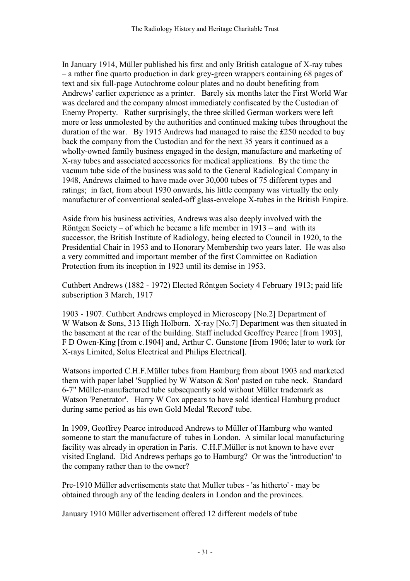In January 1914, Müller published his first and only British catalogue of X-ray tubes – a rather fine quarto production in dark grey-green wrappers containing 68 pages of text and six full-page Autochrome colour plates and no doubt benefiting from Andrews' earlier experience as a printer. Barely six months later the First World War was declared and the company almost immediately confiscated by the Custodian of Enemy Property. Rather surprisingly, the three skilled German workers were left more or less unmolested by the authorities and continued making tubes throughout the duration of the war. By 1915 Andrews had managed to raise the £250 needed to buy back the company from the Custodian and for the next 35 years it continued as a wholly-owned family business engaged in the design, manufacture and marketing of X-ray tubes and associated accessories for medical applications. By the time the vacuum tube side of the business was sold to the General Radiological Company in 1948, Andrews claimed to have made over 30,000 tubes of 75 different types and ratings; in fact, from about 1930 onwards, his little company was virtually the only manufacturer of conventional sealed-off glass-envelope X-tubes in the British Empire.

Aside from his business activities, Andrews was also deeply involved with the Röntgen Society – of which he became a life member in 1913 – and with its successor, the British Institute of Radiology, being elected to Council in 1920, to the Presidential Chair in 1953 and to Honorary Membership two years later. He was also a very committed and important member of the first Committee on Radiation Protection from its inception in 1923 until its demise in 1953.

Cuthbert Andrews (1882 - 1972) Elected Röntgen Society 4 February 1913; paid life subscription 3 March, 1917

1903 - 1907. Cuthbert Andrews employed in Microscopy [No.2] Department of W Watson & Sons, 313 High Holborn. X-ray [No.7] Department was then situated in the basement at the rear of the building. Staff included Geoffrey Pearce [from 1903], F D Owen-King [from c.1904] and, Arthur C. Gunstone [from 1906; later to work for X-rays Limited, Solus Electrical and Philips Electrical].

Watsons imported C.H.F.Müller tubes from Hamburg from about 1903 and marketed them with paper label 'Supplied by W Watson & Son' pasted on tube neck. Standard 6-7" Müller-manufactured tube subsequently sold without Müller trademark as Watson 'Penetrator'. Harry W Cox appears to have sold identical Hamburg product during same period as his own Gold Medal 'Record' tube.

In 1909, Geoffrey Pearce introduced Andrews to Müller of Hamburg who wanted someone to start the manufacture of tubes in London. A similar local manufacturing facility was already in operation in Paris. C.H.F.Müller is not known to have ever visited England. Did Andrews perhaps go to Hamburg? Or was the 'introduction' to the company rather than to the owner?

Pre-1910 Müller advertisements state that Muller tubes - 'as hitherto' - may be obtained through any of the leading dealers in London and the provinces.

January 1910 Müller advertisement offered 12 different models of tube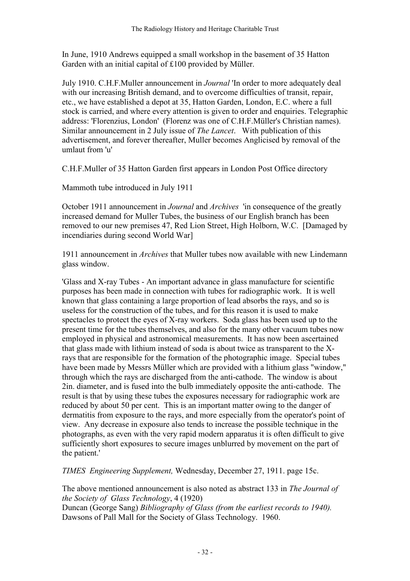In June, 1910 Andrews equipped a small workshop in the basement of 35 Hatton Garden with an initial capital of £100 provided by Müller.

July 1910. C.H.F.Muller announcement in Journal 'In order to more adequately deal with our increasing British demand, and to overcome difficulties of transit, repair, etc., we have established a depot at 35, Hatton Garden, London, E.C. where a full stock is carried, and where every attention is given to order and enquiries. Telegraphic address: 'Florenzius, London' (Florenz was one of C.H.F.Müller's Christian names). Similar announcement in 2 July issue of The Lancet. With publication of this advertisement, and forever thereafter, Muller becomes Anglicised by removal of the umlaut from 'u'

C.H.F.Muller of 35 Hatton Garden first appears in London Post Office directory

Mammoth tube introduced in July 1911

October 1911 announcement in Journal and Archives 'in consequence of the greatly increased demand for Muller Tubes, the business of our English branch has been removed to our new premises 47, Red Lion Street, High Holborn, W.C. [Damaged by incendiaries during second World War]

1911 announcement in *Archives* that Muller tubes now available with new Lindemann glass window.

'Glass and X-ray Tubes - An important advance in glass manufacture for scientific purposes has been made in connection with tubes for radiographic work. It is well known that glass containing a large proportion of lead absorbs the rays, and so is useless for the construction of the tubes, and for this reason it is used to make spectacles to protect the eyes of X-ray workers. Soda glass has been used up to the present time for the tubes themselves, and also for the many other vacuum tubes now employed in physical and astronomical measurements. It has now been ascertained that glass made with lithium instead of soda is about twice as transparent to the Xrays that are responsible for the formation of the photographic image. Special tubes have been made by Messrs Müller which are provided with a lithium glass "window," through which the rays are discharged from the anti-cathode. The window is about 2in. diameter, and is fused into the bulb immediately opposite the anti-cathode. The result is that by using these tubes the exposures necessary for radiographic work are reduced by about 50 per cent. This is an important matter owing to the danger of dermatitis from exposure to the rays, and more especially from the operator's point of view. Any decrease in exposure also tends to increase the possible technique in the photographs, as even with the very rapid modern apparatus it is often difficult to give sufficiently short exposures to secure images unblurred by movement on the part of the patient.'

TIMES Engineering Supplement, Wednesday, December 27, 1911. page 15c.

The above mentioned announcement is also noted as abstract 133 in The Journal of the Society of Glass Technology, 4 (1920) Duncan (George Sang) Bibliography of Glass (from the earliest records to 1940). Dawsons of Pall Mall for the Society of Glass Technology. 1960.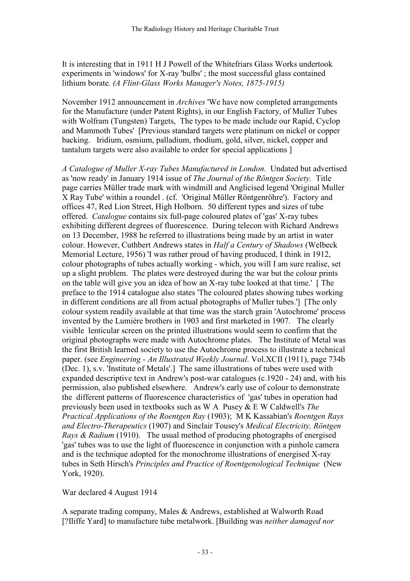It is interesting that in 1911 H J Powell of the Whitefriars Glass Works undertook experiments in 'windows' for X-ray 'bulbs' ; the most successful glass contained lithium borate. (A Flint-Glass Works Manager's Notes, 1875-1915)

November 1912 announcement in Archives 'We have now completed arrangements for the Manufacture (under Patent Rights), in our English Factory, of Muller Tubes with Wolfram (Tungsten) Targets, The types to be made include our Rapid, Cyclop and Mammoth Tubes' [Previous standard targets were platinum on nickel or copper backing. Iridium, osmium, palladium, rhodium, gold, silver, nickel, copper and tantalum targets were also available to order for special applications ]

A Catalogue of Muller X-ray Tubes Manufactured in London. Undated but advertised as 'now ready' in January 1914 issue of The Journal of the Röntgen Society. Title page carries Müller trade mark with windmill and Anglicised legend 'Original Muller X Ray Tube' within a roundel . (cf. 'Original Müller Röntgenröhre'). Factory and offices 47, Red Lion Street, High Holborn. 50 different types and sizes of tube offered. Catalogue contains six full-page coloured plates of 'gas' X-ray tubes exhibiting different degrees of fluorescence. During telecon with Richard Andrews on 13 December, 1988 he referred to illustrations being made by an artist in water colour. However, Cuthbert Andrews states in Half a Century of Shadows (Welbeck Memorial Lecture, 1956) 'I was rather proud of having produced, I think in 1912, colour photographs of tubes actually working - which, you will I am sure realise, set up a slight problem. The plates were destroyed during the war but the colour prints on the table will give you an idea of how an X-ray tube looked at that time.' [ The preface to the 1914 catalogue also states 'The coloured plates showing tubes working in different conditions are all from actual photographs of Muller tubes.'] [The only colour system readily available at that time was the starch grain 'Autochrome' process invented by the Lumière brothers in 1903 and first marketed in 1907. The clearly visible lenticular screen on the printed illustrations would seem to confirm that the original photographs were made with Autochrome plates. The Institute of Metal was the first British learned society to use the Autochrome process to illustrate a technical paper. (see Engineering - An Illustrated Weekly Journal. Vol.XCII (1911), page 734b (Dec. 1), s.v. 'Institute of Metals'.] The same illustrations of tubes were used with expanded descriptive text in Andrew's post-war catalogues (c.1920 - 24) and, with his permission, also published elsewhere. Andrew's early use of colour to demonstrate the different patterns of fluorescence characteristics of 'gas' tubes in operation had previously been used in textbooks such as W A Pusey & E W Caldwell's The Practical Applications of the Roentgen Ray (1903); M K Kassabian's Roentgen Rays and Electro-Therapeutics (1907) and Sinclair Tousey's Medical Electricity, Röntgen Rays & Radium (1910). The usual method of producing photographs of energised 'gas' tubes was to use the light of fluorescence in conjunction with a pinhole camera and is the technique adopted for the monochrome illustrations of energised X-ray tubes in Seth Hirsch's Principles and Practice of Roentgenological Technique (New York, 1920).

#### War declared 4 August 1914

A separate trading company, Males & Andrews, established at Walworth Road [?Iliffe Yard] to manufacture tube metalwork. [Building was neither damaged nor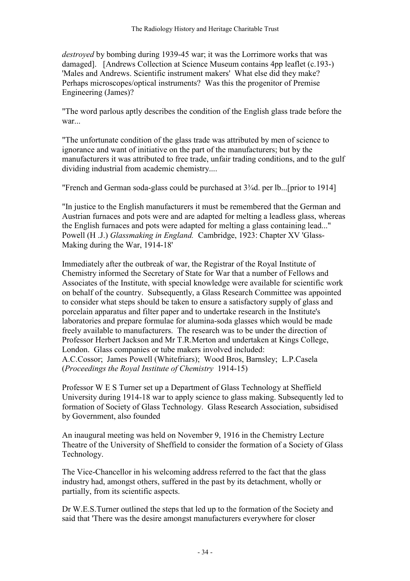destroyed by bombing during 1939-45 war; it was the Lorrimore works that was damaged]. [Andrews Collection at Science Museum contains 4pp leaflet (c.193-) 'Males and Andrews. Scientific instrument makers' What else did they make? Perhaps microscopes/optical instruments? Was this the progenitor of Premise Engineering (James)?

"The word parlous aptly describes the condition of the English glass trade before the war<sup>...</sup>

"The unfortunate condition of the glass trade was attributed by men of science to ignorance and want of initiative on the part of the manufacturers; but by the manufacturers it was attributed to free trade, unfair trading conditions, and to the gulf dividing industrial from academic chemistry....

"French and German soda-glass could be purchased at 3¾d. per lb...[prior to 1914]

"In justice to the English manufacturers it must be remembered that the German and Austrian furnaces and pots were and are adapted for melting a leadless glass, whereas the English furnaces and pots were adapted for melting a glass containing lead..." Powell (H .J.) Glassmaking in England. Cambridge, 1923: Chapter XV 'Glass-Making during the War, 1914-18'

Immediately after the outbreak of war, the Registrar of the Royal Institute of Chemistry informed the Secretary of State for War that a number of Fellows and Associates of the Institute, with special knowledge were available for scientific work on behalf of the country. Subsequently, a Glass Research Committee was appointed to consider what steps should be taken to ensure a satisfactory supply of glass and porcelain apparatus and filter paper and to undertake research in the Institute's laboratories and prepare formulae for alumina-soda glasses which would be made freely available to manufacturers. The research was to be under the direction of Professor Herbert Jackson and Mr T.R.Merton and undertaken at Kings College, London. Glass companies or tube makers involved included: A.C.Cossor; James Powell (Whitefriars); Wood Bros, Barnsley; L.P.Casela (Proceedings the Royal Institute of Chemistry 1914-15)

Professor W E S Turner set up a Department of Glass Technology at Sheffield University during 1914-18 war to apply science to glass making. Subsequently led to formation of Society of Glass Technology. Glass Research Association, subsidised by Government, also founded

An inaugural meeting was held on November 9, 1916 in the Chemistry Lecture Theatre of the University of Sheffield to consider the formation of a Society of Glass Technology.

The Vice-Chancellor in his welcoming address referred to the fact that the glass industry had, amongst others, suffered in the past by its detachment, wholly or partially, from its scientific aspects.

Dr W.E.S.Turner outlined the steps that led up to the formation of the Society and said that 'There was the desire amongst manufacturers everywhere for closer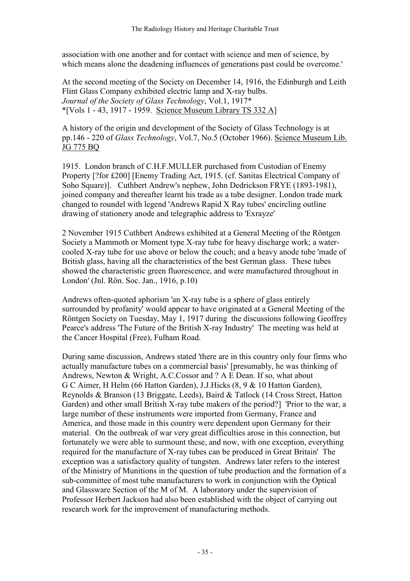association with one another and for contact with science and men of science, by which means alone the deadening influences of generations past could be overcome.'

At the second meeting of the Society on December 14, 1916, the Edinburgh and Leith Flint Glass Company exhibited electric lamp and X-ray bulbs. Journal of the Society of Glass Technology, Vol.1, 1917\* \*[Vols 1 - 43, 1917 - 1959. Science Museum Library TS 332 A]

A history of the origin and development of the Society of Glass Technology is at pp.146 - 220 of Glass Technology, Vol.7, No.5 (October 1966). Science Museum Lib. JG 775 BQ

1915. London branch of C.H.F.MULLER purchased from Custodian of Enemy Property [?for £200] [Enemy Trading Act, 1915. (cf. Sanitas Electrical Company of Soho Square)]. Cuthbert Andrew's nephew, John Dedrickson FRYE (1893-1981), joined company and thereafter learnt his trade as a tube designer. London trade mark changed to roundel with legend 'Andrews Rapid X Ray tubes' encircling outline drawing of stationery anode and telegraphic address to 'Exrayze'

2 November 1915 Cuthbert Andrews exhibited at a General Meeting of the Röntgen Society a Mammoth or Moment type X-ray tube for heavy discharge work; a watercooled X-ray tube for use above or below the couch; and a heavy anode tube 'made of British glass, having all the characteristics of the best German glass. These tubes showed the characteristic green fluorescence, and were manufactured throughout in London' (Jnl. Rön. Soc. Jan., 1916, p.10)

Andrews often-quoted aphorism 'an X-ray tube is a sphere of glass entirely surrounded by profanity' would appear to have originated at a General Meeting of the Röntgen Society on Tuesday, May 1, 1917 during the discussions following Geoffrey Pearce's address 'The Future of the British X-ray Industry' The meeting was held at the Cancer Hospital (Free), Fulham Road.

During same discussion, Andrews stated 'there are in this country only four firms who actually manufacture tubes on a commercial basis' [presumably, he was thinking of Andrews, Newton & Wright, A.C.Cossor and ? A E Dean. If so, what about G C Aimer, H Helm (66 Hatton Garden), J.J.Hicks (8, 9 & 10 Hatton Garden), Reynolds & Branson (13 Briggate, Leeds), Baird & Tatlock (14 Cross Street, Hatton Garden) and other small British X-ray tube makers of the period?] 'Prior to the war, a large number of these instruments were imported from Germany, France and America, and those made in this country were dependent upon Germany for their material. On the outbreak of war very great difficulties arose in this connection, but fortunately we were able to surmount these, and now, with one exception, everything required for the manufacture of X-ray tubes can be produced in Great Britain' The exception was a satisfactory quality of tungsten. Andrews later refers to the interest of the Ministry of Munitions in the question of tube production and the formation of a sub-committee of most tube manufacturers to work in conjunction with the Optical and Glassware Section of the M of M. A laboratory under the supervision of Professor Herbert Jackson had also been established with the object of carrying out research work for the improvement of manufacturing methods.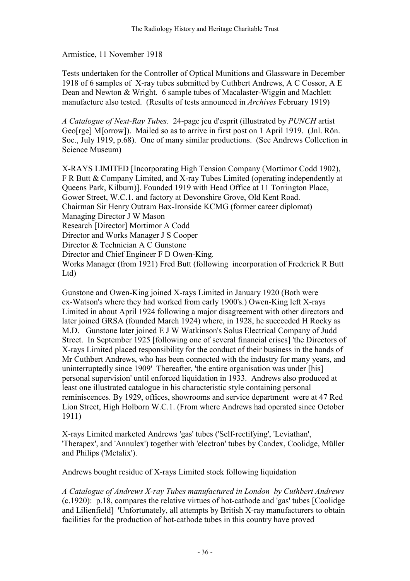Armistice, 11 November 1918

Tests undertaken for the Controller of Optical Munitions and Glassware in December 1918 of 6 samples of X-ray tubes submitted by Cuthbert Andrews, A C Cossor, A E Dean and Newton & Wright. 6 sample tubes of Macalaster-Wiggin and Machlett manufacture also tested. (Results of tests announced in Archives February 1919)

A Catalogue of Next-Ray Tubes. 24-page jeu d'esprit (illustrated by PUNCH artist Geo[rge] M[orrow]). Mailed so as to arrive in first post on 1 April 1919. (Jnl. Rön. Soc., July 1919, p.68). One of many similar productions. (See Andrews Collection in Science Museum)

X-RAYS LIMITED [Incorporating High Tension Company (Mortimor Codd 1902), F R Butt & Company Limited, and X-ray Tubes Limited (operating independently at Queens Park, Kilburn)]. Founded 1919 with Head Office at 11 Torrington Place, Gower Street, W.C.1. and factory at Devonshire Grove, Old Kent Road. Chairman Sir Henry Outram Bax-Ironside KCMG (former career diplomat) Managing Director J W Mason Research [Director] Mortimor A Codd Director and Works Manager J S Cooper Director & Technician A C Gunstone Director and Chief Engineer F D Owen-King. Works Manager (from 1921) Fred Butt (following incorporation of Frederick R Butt Ltd)

Gunstone and Owen-King joined X-rays Limited in January 1920 (Both were ex-Watson's where they had worked from early 1900's.) Owen-King left X-rays Limited in about April 1924 following a major disagreement with other directors and later joined GRSA (founded March 1924) where, in 1928, he succeeded H Rocky as M.D. Gunstone later joined E J W Watkinson's Solus Electrical Company of Judd Street. In September 1925 [following one of several financial crises] 'the Directors of X-rays Limited placed responsibility for the conduct of their business in the hands of Mr Cuthbert Andrews, who has been connected with the industry for many years, and uninterruptedly since 1909' Thereafter, 'the entire organisation was under [his] personal supervision' until enforced liquidation in 1933. Andrews also produced at least one illustrated catalogue in his characteristic style containing personal reminiscences. By 1929, offices, showrooms and service department were at 47 Red Lion Street, High Holborn W.C.1. (From where Andrews had operated since October 1911)

X-rays Limited marketed Andrews 'gas' tubes ('Self-rectifying', 'Leviathan', 'Therapex', and 'Annulex') together with 'electron' tubes by Candex, Coolidge, Müller and Philips ('Metalix').

Andrews bought residue of X-rays Limited stock following liquidation

A Catalogue of Andrews X-ray Tubes manufactured in London by Cuthbert Andrews (c.1920): p.18, compares the relative virtues of hot-cathode and 'gas' tubes [Coolidge and Lilienfield] 'Unfortunately, all attempts by British X-ray manufacturers to obtain facilities for the production of hot-cathode tubes in this country have proved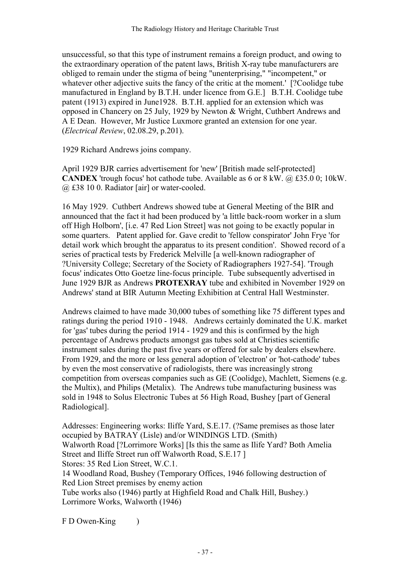unsuccessful, so that this type of instrument remains a foreign product, and owing to the extraordinary operation of the patent laws, British X-ray tube manufacturers are obliged to remain under the stigma of being "unenterprising," "incompetent," or whatever other adjective suits the fancy of the critic at the moment.' [?Coolidge tube manufactured in England by B.T.H. under licence from G.E.] B.T.H. Coolidge tube patent (1913) expired in June1928. B.T.H. applied for an extension which was opposed in Chancery on 25 July, 1929 by Newton & Wright, Cuthbert Andrews and A E Dean. However, Mr Justice Luxmore granted an extension for one year. (Electrical Review, 02.08.29, p.201).

1929 Richard Andrews joins company.

April 1929 BJR carries advertisement for 'new' [British made self-protected] CADEX 'trough focus' hot cathode tube. Available as 6 or 8 kW. @ £35.0 0; 10kW. @ £38 10 0. Radiator [air] or water-cooled.

16 May 1929. Cuthbert Andrews showed tube at General Meeting of the BIR and announced that the fact it had been produced by 'a little back-room worker in a slum off High Holborn', [i.e. 47 Red Lion Street] was not going to be exactly popular in some quarters. Patent applied for. Gave credit to 'fellow conspirator' John Frye 'for detail work which brought the apparatus to its present condition'. Showed record of a series of practical tests by Frederick Melville [a well-known radiographer of ?University College; Secretary of the Society of Radiographers 1927-54]. 'Trough focus' indicates Otto Goetze line-focus principle. Tube subsequently advertised in June 1929 BJR as Andrews PROTEXRAY tube and exhibited in November 1929 on Andrews' stand at BIR Autumn Meeting Exhibition at Central Hall Westminster.

Andrews claimed to have made 30,000 tubes of something like 75 different types and ratings during the period 1910 - 1948. Andrews certainly dominated the U.K. market for 'gas' tubes during the period 1914 - 1929 and this is confirmed by the high percentage of Andrews products amongst gas tubes sold at Christies scientific instrument sales during the past five years or offered for sale by dealers elsewhere. From 1929, and the more or less general adoption of 'electron' or 'hot-cathode' tubes by even the most conservative of radiologists, there was increasingly strong competition from overseas companies such as GE (Coolidge), Machlett, Siemens (e.g. the Multix), and Philips (Metalix). The Andrews tube manufacturing business was sold in 1948 to Solus Electronic Tubes at 56 High Road, Bushey [part of General Radiological].

Addresses: Engineering works: Iliffe Yard, S.E.17. (?Same premises as those later occupied by BATRAY (Lisle) and/or WINDINGS LTD. (Smith) Walworth Road [?Lorrimore Works] [Is this the same as Ilife Yard? Both Amelia Street and Iliffe Street run off Walworth Road, S.E.17 ] Stores: 35 Red Lion Street, W.C.1.

14 Woodland Road, Bushey (Temporary Offices, 1946 following destruction of Red Lion Street premises by enemy action

Tube works also (1946) partly at Highfield Road and Chalk Hill, Bushey.) Lorrimore Works, Walworth (1946)

F D Owen-King  $\qquad$ )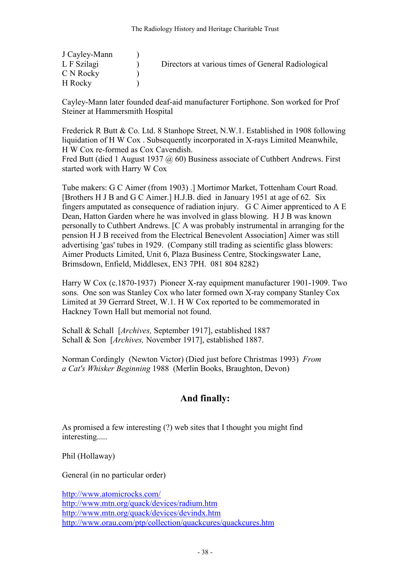| J Cayley-Mann |                                                    |
|---------------|----------------------------------------------------|
| L F Szilagi   | Directors at various times of General Radiological |
| C N Rocky     |                                                    |
| H Rocky       |                                                    |

Cayley-Mann later founded deaf-aid manufacturer Fortiphone. Son worked for Prof Steiner at Hammersmith Hospital

Frederick R Butt & Co. Ltd. 8 Stanhope Street, N.W.1. Established in 1908 following liquidation of H W Cox . Subsequently incorporated in X-rays Limited Meanwhile, H W Cox re-formed as Cox Cavendish.

Fred Butt (died 1 August 1937 @ 60) Business associate of Cuthbert Andrews. First started work with Harry W Cox

Tube makers: G C Aimer (from 1903) .] Mortimor Market, Tottenham Court Road. [Brothers H J B and G C Aimer.] H.J.B. died in January 1951 at age of 62. Six fingers amputated as consequence of radiation injury. G C Aimer apprenticed to A E Dean, Hatton Garden where he was involved in glass blowing. H J B was known personally to Cuthbert Andrews. [C A was probably instrumental in arranging for the pension H J B received from the Electrical Benevolent Association] Aimer was still advertising 'gas' tubes in 1929. (Company still trading as scientific glass blowers: Aimer Products Limited, Unit 6, Plaza Business Centre, Stockingswater Lane, Brimsdown, Enfield, Middlesex, EN3 7PH. 081 804 8282)

Harry W Cox (c.1870-1937) Pioneer X-ray equipment manufacturer 1901-1909. Two sons. One son was Stanley Cox who later formed own X-ray company Stanley Cox Limited at 39 Gerrard Street, W.1. H W Cox reported to be commemorated in Hackney Town Hall but memorial not found.

Schall & Schall [Archives, September 1917], established 1887 Schall & Son [Archives, November 1917], established 1887.

Norman Cordingly (Newton Victor) (Died just before Christmas 1993) From a Cat's Whisker Beginning 1988 (Merlin Books, Braughton, Devon)

## And finally:

As promised a few interesting (?) web sites that I thought you might find interesting.....

Phil (Hollaway)

General (in no particular order)

http://www.atomicrocks.com/ http://www.mtn.org/quack/devices/radium.htm http://www.mtn.org/quack/devices/devindx.htm http://www.orau.com/ptp/collection/quackcures/quackcures.htm